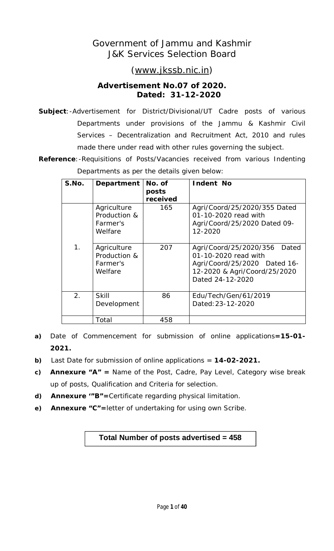## Government of Jammu and Kashmir J&K Services Selection Board

## (www.jkssb.nic.in)

### **Advertisement No.07 of 2020. Dated: 31-12-2020**

**Subject**:-Advertisement for District/Divisional/UT Cadre posts of various Departments under provisions of the Jammu & Kashmir Civil Services – Decentralization and Recruitment Act, 2010 and rules made there under read with other rules governing the subject.

**Reference**:-Requisitions of Posts/Vacancies received from various Indenting Departments as per the details given below:

| S.No.          | Department                                         | No. of<br>posts<br>received | Indent No                                                                                                                                |
|----------------|----------------------------------------------------|-----------------------------|------------------------------------------------------------------------------------------------------------------------------------------|
|                | Agriculture<br>Production &<br>Farmer's<br>Welfare | 165                         | Agri/Coord/25/2020/355 Dated<br>01-10-2020 read with<br>Agri/Coord/25/2020 Dated 09-<br>12-2020                                          |
| $\mathbf{1}$ . | Agriculture<br>Production &<br>Farmer's<br>Welfare | 207                         | Agri/Coord/25/2020/356 Dated<br>01-10-2020 read with<br>Agri/Coord/25/2020 Dated 16-<br>12-2020 & Agri/Coord/25/2020<br>Dated 24-12-2020 |
| 2.             | Skill<br>Development                               | 86                          | Edu/Tech/Gen/61/2019<br>Dated: 23-12-2020                                                                                                |
|                | Total                                              | 458                         |                                                                                                                                          |

- **a)** Date of Commencement for submission of online applications**=15-01- 2021.**
- **b)** Last Date for submission of online applications = **14-02-2021.**
- **c) Annexure "A" =** Name of the Post, Cadre, Pay Level, Category wise break up of posts, Qualification and Criteria for selection.
- **d) Annexure '"B"=**Certificate regarding physical limitation.
- **e) Annexure "C"=**letter of undertaking for using own Scribe.

### **Total Number of posts advertised = 458**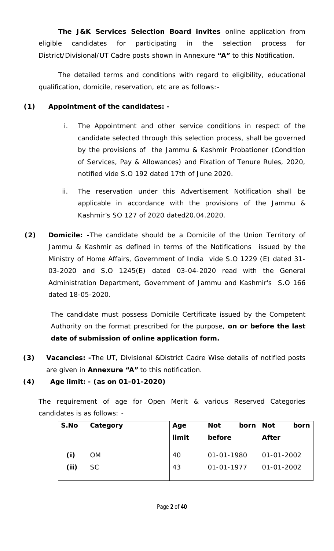**The J&K Services Selection Board invites** online application from eligible candidates for participating in the selection process for District/Divisional/UT Cadre posts shown in Annexure **"A"** to this Notification.

The detailed terms and conditions with regard to eligibility, educational qualification, domicile, reservation, etc are as follows:-

- **(1) Appointment of the candidates:** 
	- i. The Appointment and other service conditions in respect of the candidate selected through this selection process, shall be governed by the provisions of the Jammu & Kashmir Probationer (Condition of Services, Pay & Allowances) and Fixation of Tenure Rules, 2020, notified vide S.O 192 dated 17th of June 2020.
	- ii. The reservation under this Advertisement Notification shall be applicable in accordance with the provisions of the Jammu & Kashmir's SO 127 of 2020 dated20.04.2020.
- **(2) Domicile: -**The candidate should be a Domicile of the Union Territory of Jammu & Kashmir as defined in terms of the Notifications issued by the Ministry of Home Affairs, Government of India vide S.O 1229 (E) dated 31- 03-2020 and S.O 1245(E) dated 03-04-2020 read with the General Administration Department, Government of Jammu and Kashmir's S.O 166 dated 18-05-2020.

The candidate must possess Domicile Certificate issued by the Competent Authority on the format prescribed for the purpose, **on or before the last date of submission of online application form.** 

- **(3) Vacancies: -**The UT, Divisional &District Cadre Wise details of notified posts are given in **Annexure "A"** to this notification.
- **(4) Age limit: (as on 01-01-2020)**

The requirement of age for Open Merit & various Reserved Categories candidates is as follows: -

| S.No           | Category  | Age   | <b>Not</b>       | born   Not |                  | born |
|----------------|-----------|-------|------------------|------------|------------------|------|
|                |           | limit | before           |            | After            |      |
| $(\mathsf{i})$ | <b>OM</b> | 40    | 01-01-1980       |            | $01 - 01 - 2002$ |      |
| (ii)           | <b>SC</b> | 43    | $01 - 01 - 1977$ |            | $01 - 01 - 2002$ |      |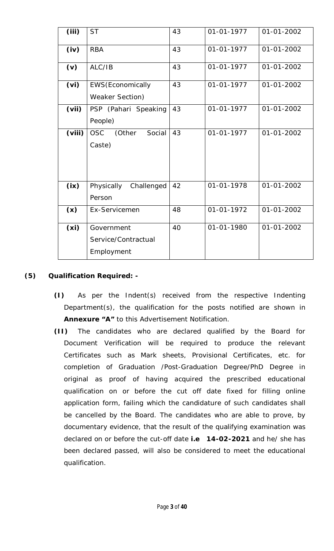| (iii)             | <b>ST</b>                                          | 43 | 01-01-1977       | 01-01-2002       |
|-------------------|----------------------------------------------------|----|------------------|------------------|
| (iv)              | <b>RBA</b>                                         | 43 | 01-01-1977       | 01-01-2002       |
| (v)               | ALC/IB                                             | 43 | $01 - 01 - 1977$ | 01-01-2002       |
| (vi)              | <b>EWS</b> (Economically<br><b>Weaker Section)</b> | 43 | 01-01-1977       | 01-01-2002       |
| (vii)             | PSP (Pahari Speaking<br>People)                    | 43 | 01-01-1977       | 01-01-2002       |
| (viii)            | <b>OSC</b><br>Social<br>(Other<br>Caste)           | 43 | 01-01-1977       | $01 - 01 - 2002$ |
| (ix)              | Physically<br>Challenged<br>Person                 | 42 | 01-01-1978       | 01-01-2002       |
| (x)               | Ex-Servicemen                                      | 48 | 01-01-1972       | 01-01-2002       |
| (x <sub>i</sub> ) | Government<br>Service/Contractual<br>Employment    | 40 | 01-01-1980       | $01 - 01 - 2002$ |

- **(5) Qualification Required:** 
	- **(I)** As per the Indent(s) received from the respective Indenting Department(s), the qualification for the posts notified are shown in **Annexure "A"** to this Advertisement Notification.
	- **(II)** The candidates who are declared qualified by the Board for Document Verification will be required to produce the relevant Certificates such as Mark sheets, Provisional Certificates, etc. for completion of Graduation /Post-Graduation Degree/PhD Degree in original as proof of having acquired the prescribed educational qualification on or before the cut off date fixed for filling online application form, failing which the candidature of such candidates shall be cancelled by the Board. The candidates who are able to prove, by documentary evidence, that the result of the qualifying examination was declared on or before the cut-off date **i.e 14-02-2021** and he/ she has been declared passed, will also be considered to meet the educational qualification.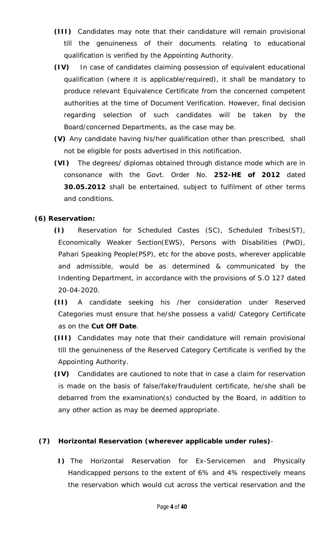- **(III)** Candidates may note that their candidature will remain provisional till the genuineness of their documents relating to educational qualification is verified by the Appointing Authority.
- **(IV)** In case of candidates claiming possession of equivalent educational qualification (where it is applicable/required), it shall be mandatory to produce relevant Equivalence Certificate from the concerned competent authorities at the time of Document Verification. However, final decision regarding selection of such candidates will be taken by the Board/concerned Departments, as the case may be.
- **(V)** Any candidate having his/her qualification other than prescribed, shall not be eligible for posts advertised in this notification.
- **(VI)** The degrees/ diplomas obtained through distance mode which are in consonance with the Govt. Order No. **252-HE of 2012** dated **30.05.2012** shall be entertained, subject to fulfilment of other terms and conditions.
- **(6) Reservation:** 
	- **(I)** Reservation for Scheduled Castes (SC), Scheduled Tribes(ST), Economically Weaker Section(EWS), Persons with Disabilities (PwD), Pahari Speaking People(PSP), etc for the above posts, wherever applicable and admissible, would be as determined & communicated by the Indenting Department, in accordance with the provisions of S.O 127 dated 20-04-2020.
	- **(II)** A candidate seeking his /her consideration under Reserved Categories must ensure that he/she possess a valid/ Category Certificate as on the **Cut Off Date**.
	- **(III)** Candidates may note that their candidature will remain provisional till the genuineness of the Reserved Category Certificate is verified by the Appointing Authority.
	- **(IV)** Candidates are cautioned to note that in case a claim for reservation is made on the basis of false/fake/fraudulent certificate, he/she shall be debarred from the examination(s) conducted by the Board, in addition to any other action as may be deemed appropriate.
	- **(7) Horizontal Reservation (wherever applicable under rules)**
		- **I)** The Horizontal Reservation for Ex-Servicemen and Physically Handicapped persons to the extent of 6% and 4% respectively means the reservation which would cut across the vertical reservation and the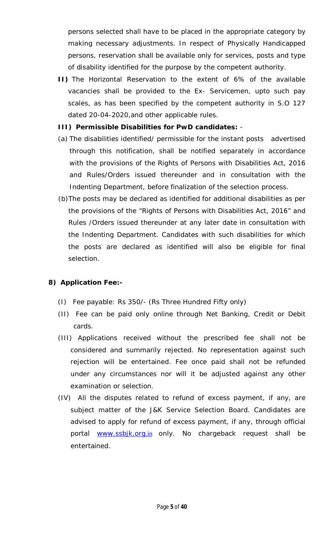persons selected shall have to be placed in the appropriate category by making necessary adjustments. In respect of Physically Handicapped persons, reservation shall be available only for services, posts and type of disability identified for the purpose by the competent authority.

- **II)** The Horizontal Reservation to the extent of 6% of the available vacancies shall be provided to the Ex- Servicemen, upto such pay scales, as has been specified by the competent authority in S.O 127 dated 20-04-2020,and other applicable rules.
- **III) Permissible Disabilities for PwD candidates:** -
- (a) The disabilities identified/ permissible for the instant posts advertised through this notification, shall be notified separately in accordance with the provisions of the Rights of Persons with Disabilities Act, 2016 and Rules/Orders issued thereunder and in consultation with the Indenting Department, before finalization of the selection process.
- (b)The posts may be declared as identified for additional disabilities as per the provisions of the "Rights of Persons with Disabilities Act, 2016" and Rules /Orders issued thereunder at any later date in consultation with the Indenting Department. Candidates with such disabilities for which the posts are declared as identified will also be eligible for final selection.
- **8) Application Fee:-** 
	- (I) Fee payable: Rs 350/- (Rs Three Hundred Fifty only)
	- (II) Fee can be paid only online through Net Banking, Credit or Debit cards.
	- (III) Applications received without the prescribed fee shall not be considered and summarily rejected. No representation against such rejection will be entertained. Fee once paid shall not be refunded under any circumstances nor will it be adjusted against any other examination or selection.
	- (IV) All the disputes related to refund of excess payment, if any, are subject matter of the J&K Service Selection Board. Candidates are advised to apply for refund of excess payment, if any, through official portal www.ssbjk.org.in only. No chargeback request shall be entertained.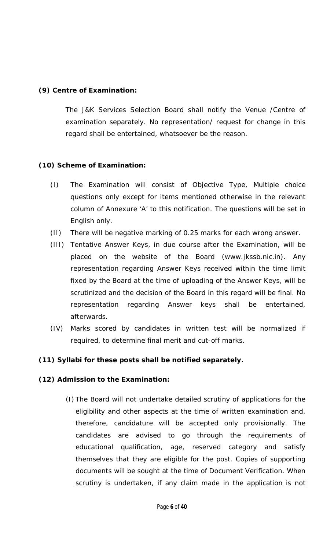**(9) Centre of Examination:** 

The J&K Services Selection Board shall notify the Venue /Centre of examination separately. No representation/ request for change in this regard shall be entertained, whatsoever be the reason.

**(10) Scheme of Examination:** 

- (I) The Examination will consist of Objective Type, Multiple choice questions only except for items mentioned otherwise in the relevant column of Annexure 'A' to this notification. The questions will be set in English only.
- (II) There will be negative marking of 0.25 marks for each wrong answer.
- (III) Tentative Answer Keys, in due course after the Examination, will be placed on the website of the Board (www.jkssb.nic.in). Any representation regarding Answer Keys received within the time limit fixed by the Board at the time of uploading of the Answer Keys, will be scrutinized and the decision of the Board in this regard will be final. No representation regarding Answer keys shall be entertained, afterwards.
- (IV) Marks scored by candidates in written test will be normalized if required, to determine final merit and cut-off marks.
- **(11) Syllabi for these posts shall be notified separately.**
- **(12) Admission to the Examination:** 
	- (I) The Board will not undertake detailed scrutiny of applications for the eligibility and other aspects at the time of written examination and, therefore, candidature will be accepted only provisionally. The candidates are advised to go through the requirements of educational qualification, age, reserved category and satisfy themselves that they are eligible for the post. Copies of supporting documents will be sought at the time of Document Verification. When scrutiny is undertaken, if any claim made in the application is not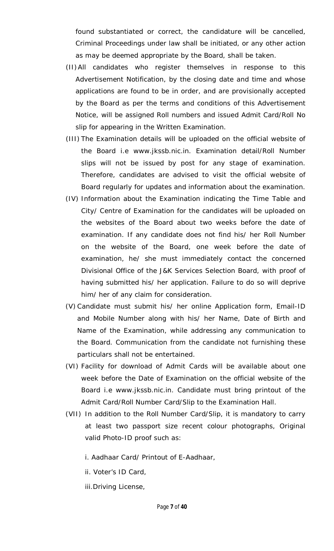found substantiated or correct, the candidature will be cancelled, Criminal Proceedings under law shall be initiated, or any other action as may be deemed appropriate by the Board, shall be taken.

- (II)All candidates who register themselves in response to this Advertisement Notification, by the closing date and time and whose applications are found to be in order, and are provisionally accepted by the Board as per the terms and conditions of this Advertisement Notice, will be assigned Roll numbers and issued Admit Card/Roll No slip for appearing in the Written Examination.
- (III) The Examination details will be uploaded on the official website of the Board i.e www.jkssb.nic.in. Examination detail/Roll Number slips will not be issued by post for any stage of examination. Therefore, candidates are advised to visit the official website of Board regularly for updates and information about the examination.
- (IV) Information about the Examination indicating the Time Table and City/ Centre of Examination for the candidates will be uploaded on the websites of the Board about two weeks before the date of examination. If any candidate does not find his/ her Roll Number on the website of the Board, one week before the date of examination, he/ she must immediately contact the concerned Divisional Office of the J&K Services Selection Board, with proof of having submitted his/ her application. Failure to do so will deprive him/ her of any claim for consideration.
- (V) Candidate must submit his/ her online Application form, Email-ID and Mobile Number along with his/ her Name, Date of Birth and Name of the Examination, while addressing any communication to the Board. Communication from the candidate not furnishing these particulars shall not be entertained.
- (VI) Facility for download of Admit Cards will be available about one week before the Date of Examination on the official website of the Board i.e www.jkssb.nic.in. Candidate must bring printout of the Admit Card/Roll Number Card/Slip to the Examination Hall.
- (VII) In addition to the Roll Number Card/Slip, it is mandatory to carry at least two passport size recent colour photographs, Original valid Photo-ID proof such as:
	- i. Aadhaar Card/ Printout of E-Aadhaar,
	- ii. Voter's ID Card,
	- iii.Driving License,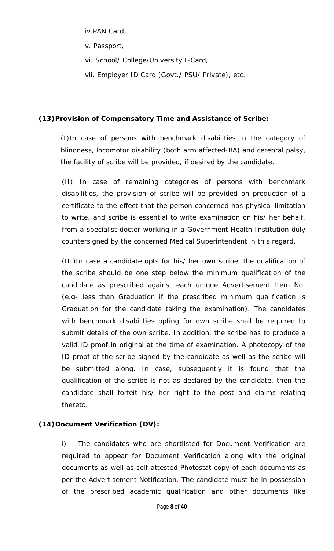iv.PAN Card,

v. Passport,

vi. School/ College/University I-Card,

vii. Employer ID Card (Govt./ PSU/ Private), etc.

**(13)Provision of Compensatory Time and Assistance of Scribe:** 

(I)In case of persons with benchmark disabilities in the category of blindness, locomotor disability (both arm affected-BA) and cerebral palsy, the facility of scribe will be provided, if desired by the candidate.

(II) In case of remaining categories of persons with benchmark disabilities, the provision of scribe will be provided on production of a certificate to the effect that the person concerned has physical limitation to write, and scribe is essential to write examination on his/ her behalf, from a specialist doctor working in a Government Health Institution duly countersigned by the concerned Medical Superintendent in this regard.

(III)In case a candidate opts for his/ her own scribe, the qualification of the scribe should be one step below the minimum qualification of the candidate as prescribed against each unique Advertisement Item No. (e.g- less than Graduation if the prescribed minimum qualification is Graduation for the candidate taking the examination). The candidates with benchmark disabilities opting for own scribe shall be required to submit details of the own scribe. In addition, the scribe has to produce a valid ID proof in original at the time of examination. A photocopy of the ID proof of the scribe signed by the candidate as well as the scribe will be submitted along. In case, subsequently it is found that the qualification of the scribe is not as declared by the candidate, then the candidate shall forfeit his/ her right to the post and claims relating thereto.

### **(14)Document Verification (DV):**

i) The candidates who are shortlisted for Document Verification are required to appear for Document Verification along with the original documents as well as self-attested Photostat copy of each documents as per the Advertisement Notification. The candidate must be in possession of the prescribed academic qualification and other documents like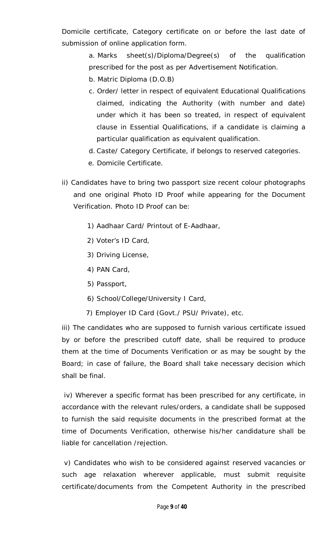Domicile certificate, Category certificate on or before the last date of submission of online application form.

> a. Marks sheet(s)/Diploma/Degree(s) of the qualification prescribed for the post as per Advertisement Notification.

- b. Matric Diploma (D.O.B)
- c. Order/ letter in respect of equivalent Educational Qualifications claimed, indicating the Authority (with number and date) under which it has been so treated, in respect of equivalent clause in Essential Qualifications, if a candidate is claiming a particular qualification as equivalent qualification.
- d. Caste/ Category Certificate, if belongs to reserved categories.
- e. Domicile Certificate.
- ii) Candidates have to bring two passport size recent colour photographs and one original Photo ID Proof while appearing for the Document Verification. Photo ID Proof can be:
	- 1) Aadhaar Card/ Printout of E-Aadhaar,
	- 2) Voter's ID Card,
	- 3) Driving License,
	- 4) PAN Card,
	- 5) Passport,
	- 6) School/College/University I Card,
	- 7) Employer ID Card (Govt./ PSU/ Private), etc.

iii) The candidates who are supposed to furnish various certificate issued by or before the prescribed cutoff date, shall be required to produce them at the time of Documents Verification or as may be sought by the Board; in case of failure, the Board shall take necessary decision which shall be final.

 iv) Wherever a specific format has been prescribed for any certificate, in accordance with the relevant rules/orders, a candidate shall be supposed to furnish the said requisite documents in the prescribed format at the time of Documents Verification, otherwise his/her candidature shall be liable for cancellation /rejection.

 v) Candidates who wish to be considered against reserved vacancies or such age relaxation wherever applicable, must submit requisite certificate/documents from the Competent Authority in the prescribed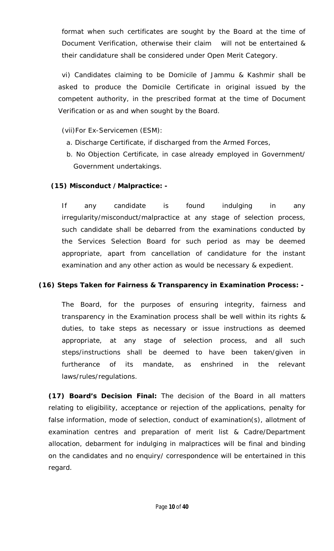format when such certificates are sought by the Board at the time of Document Verification, otherwise their claim will not be entertained & their candidature shall be considered under Open Merit Category.

 vi) Candidates claiming to be Domicile of Jammu & Kashmir shall be asked to produce the Domicile Certificate in original issued by the competent authority, in the prescribed format at the time of Document Verification or as and when sought by the Board.

(vii)For Ex-Servicemen (ESM):

- a. Discharge Certificate, if discharged from the Armed Forces,
- b. No Objection Certificate, in case already employed in Government/ Government undertakings.

**(15) Misconduct /Malpractice: -**

If any candidate is found indulging in any irregularity/misconduct/malpractice at any stage of selection process, such candidate shall be debarred from the examinations conducted by the Services Selection Board for such period as may be deemed appropriate, apart from cancellation of candidature for the instant examination and any other action as would be necessary & expedient.

**(16) Steps Taken for Fairness & Transparency in Examination Process: -** 

The Board, for the purposes of ensuring integrity, fairness and transparency in the Examination process shall be well within its rights & duties, to take steps as necessary or issue instructions as deemed appropriate, at any stage of selection process, and all such steps/instructions shall be deemed to have been taken/given in furtherance of its mandate, as enshrined in the relevant laws/rules/regulations.

**(17) Board's Decision Final:** The decision of the Board in all matters relating to eligibility, acceptance or rejection of the applications, penalty for false information, mode of selection, conduct of examination(s), allotment of examination centres and preparation of merit list & Cadre/Department allocation, debarment for indulging in malpractices will be final and binding on the candidates and no enquiry/ correspondence will be entertained in this regard.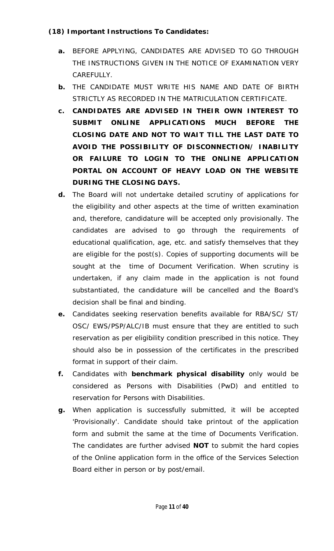- **(18) Important Instructions To Candidates:** 
	- **a.** BEFORE APPLYING, CANDIDATES ARE ADVISED TO GO THROUGH THE INSTRUCTIONS GIVEN IN THE NOTICE OF EXAMINATION VERY CAREFULLY.
	- **b.** THE CANDIDATE MUST WRITE HIS NAME AND DATE OF BIRTH STRICTLY AS RECORDED IN THE MATRICULATION CERTIFICATE.
	- **c. CANDIDATES ARE ADVISED IN THEIR OWN INTEREST TO SUBMIT ONLINE APPLICATIONS MUCH BEFORE THE CLOSING DATE AND NOT TO WAIT TILL THE LAST DATE TO AVOID THE POSSIBILITY OF DISCONNECTION/ INABILITY OR FAILURE TO LOGIN TO THE ONLINE APPLICATION PORTAL ON ACCOUNT OF HEAVY LOAD ON THE WEBSITE DURING THE CLOSING DAYS.**
	- **d.** The Board will not undertake detailed scrutiny of applications for the eligibility and other aspects at the time of written examination and, therefore, candidature will be accepted only provisionally. The candidates are advised to go through the requirements of educational qualification, age, etc. and satisfy themselves that they are eligible for the post(s). Copies of supporting documents will be sought at the time of Document Verification. When scrutiny is undertaken, if any claim made in the application is not found substantiated, the candidature will be cancelled and the Board's decision shall be final and binding.
	- **e.** Candidates seeking reservation benefits available for RBA/SC/ ST/ OSC/ EWS/PSP/ALC/IB must ensure that they are entitled to such reservation as per eligibility condition prescribed in this notice. They should also be in possession of the certificates in the prescribed format in support of their claim.
	- **f.** Candidates with **benchmark physical disability** only would be considered as Persons with Disabilities (PwD) and entitled to reservation for Persons with Disabilities.
	- **g.** When application is successfully submitted, it will be accepted 'Provisionally'. Candidate should take printout of the application form and submit the same at the time of Documents Verification. The candidates are further advised **NOT** to submit the hard copies of the Online application form in the office of the Services Selection Board either in person or by post/email.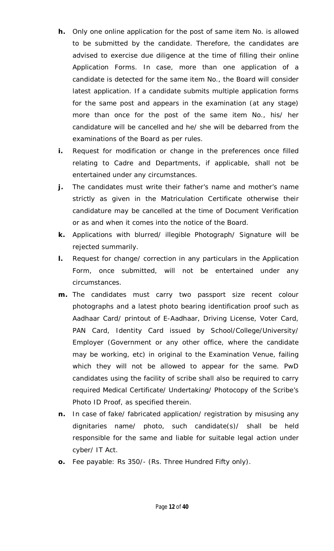- **h.** Only one online application for the post of same item No. is allowed to be submitted by the candidate. Therefore, the candidates are advised to exercise due diligence at the time of filling their online Application Forms. In case, more than one application of a candidate is detected for the same item No., the Board will consider latest application. If a candidate submits multiple application forms for the same post and appears in the examination (at any stage) more than once for the post of the same item No., his/ her candidature will be cancelled and he/ she will be debarred from the examinations of the Board as per rules.
- **i.** Request for modification or change in the preferences once filled relating to Cadre and Departments, if applicable, shall not be entertained under any circumstances.
- **j.** The candidates must write their father's name and mother's name strictly as given in the Matriculation Certificate otherwise their candidature may be cancelled at the time of Document Verification or as and when it comes into the notice of the Board.
- **k.** Applications with blurred/ illegible Photograph/ Signature will be rejected summarily.
- **l.** Request for change/ correction in any particulars in the Application Form, once submitted, will not be entertained under any circumstances.
- **m.** The candidates must carry two passport size recent colour photographs and a latest photo bearing identification proof such as Aadhaar Card/ printout of E-Aadhaar, Driving License, Voter Card, PAN Card, Identity Card issued by School/College/University/ Employer (Government or any other office, where the candidate may be working, etc) in original to the Examination Venue, failing which they will not be allowed to appear for the same. PwD candidates using the facility of scribe shall also be required to carry required Medical Certificate/ Undertaking/ Photocopy of the Scribe's Photo ID Proof, as specified therein.
- **n.** In case of fake/ fabricated application/ registration by misusing any dignitaries name/ photo, such candidate(s)/ shall be held responsible for the same and liable for suitable legal action under cyber/ IT Act.
- **o.** Fee payable: Rs 350/- (Rs. Three Hundred Fifty only).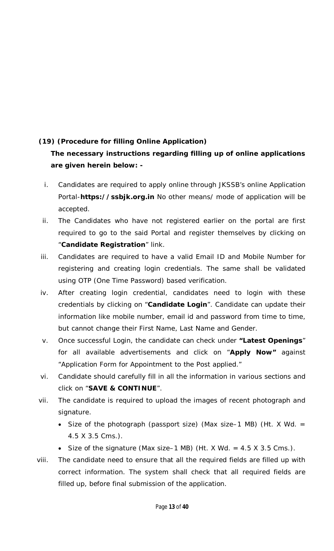### **(19) (Procedure for filling Online Application)**

**The necessary instructions regarding filling up of online applications are given herein below: -** 

- i. Candidates are required to apply online through JKSSB's online Application Portal-**https://ssbjk.org.in** No other means/ mode of application will be accepted.
- ii. The Candidates who have not registered earlier on the portal are first required to go to the said Portal and register themselves by clicking on "**Candidate Registration**" link.
- iii. Candidates are required to have a valid Email ID and Mobile Number for registering and creating login credentials. The same shall be validated using OTP (One Time Password) based verification.
- iv. After creating login credential, candidates need to login with these credentials by clicking on "**Candidate Login**". Candidate can update their information like mobile number, email id and password from time to time, but cannot change their First Name, Last Name and Gender.
- v. Once successful Login, the candidate can check under **"Latest Openings**" for all available advertisements and click on "**Apply Now"** against "Application Form for Appointment to the Post applied."
- vi. Candidate should carefully fill in all the information in various sections and click on "**SAVE & CONTINUE**".
- vii. The candidate is required to upload the images of recent photograph and signature.
	- Size of the photograph (passport size) (Max size–1 MB) (Ht. X Wd.  $=$ 4.5 X 3.5 Cms.).
	- Size of the signature (Max size–1 MB) (Ht. X Wd. =  $4.5$  X 3.5 Cms.).
- viii. The candidate need to ensure that all the required fields are filled up with correct information. The system shall check that all required fields are filled up, before final submission of the application.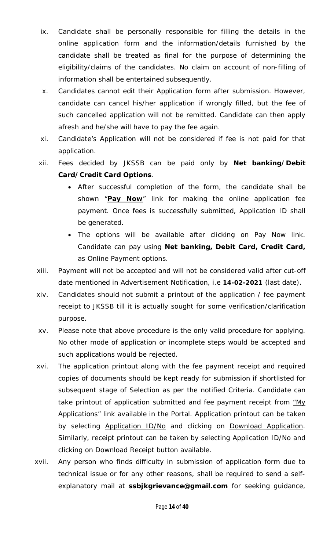- ix. Candidate shall be personally responsible for filling the details in the online application form and the information/details furnished by the candidate shall be treated as final for the purpose of determining the eligibility/claims of the candidates. No claim on account of non-filling of information shall be entertained subsequently.
- x. Candidates cannot edit their Application form after submission. However, candidate can cancel his/her application if wrongly filled, but the fee of such cancelled application will not be remitted. Candidate can then apply afresh and he/she will have to pay the fee again.
- xi. Candidate's Application will not be considered if fee is not paid for that application.
- xii. Fees decided by JKSSB can be paid only by **Net banking/Debit Card/Credit Card Options**.
	- After successful completion of the form, the candidate shall be shown "**Pay Now**" link for making the online application fee payment. Once fees is successfully submitted, Application ID shall be generated.
	- The options will be available after clicking on Pay Now link. Candidate can pay using **Net banking, Debit Card, Credit Card,**  as Online Payment options.
- xiii. Payment will not be accepted and will not be considered valid after cut-off date mentioned in Advertisement Notification, i.e **14-02-2021** (last date).
- xiv. Candidates should not submit a printout of the application / fee payment receipt to JKSSB till it is actually sought for some verification/clarification purpose.
- xv. Please note that above procedure is the only valid procedure for applying. No other mode of application or incomplete steps would be accepted and such applications would be rejected.
- xvi. The application printout along with the fee payment receipt and required copies of documents should be kept ready for submission if shortlisted for subsequent stage of Selection as per the notified Criteria. Candidate can take printout of application submitted and fee payment receipt from "My Applications" link available in the Portal. Application printout can be taken by selecting Application ID/No and clicking on Download Application. Similarly, receipt printout can be taken by selecting Application ID/No and clicking on Download Receipt button available.
- xvii. Any person who finds difficulty in submission of application form due to technical issue or for any other reasons, shall be required to send a selfexplanatory mail at **ssbjkgrievance@gmail.com** for seeking guidance,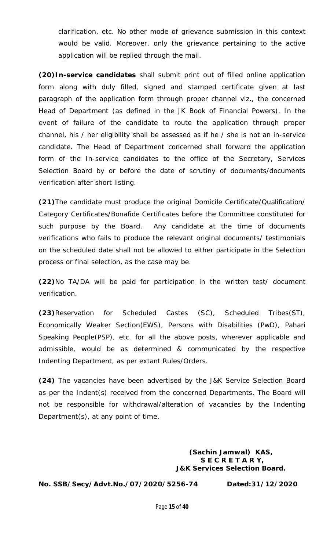clarification, etc. No other mode of grievance submission in this context would be valid. Moreover, only the grievance pertaining to the active application will be replied through the mail.

**(20)In-service candidates** shall submit print out of filled online application form along with duly filled, signed and stamped certificate given at last paragraph of the application form through proper channel viz., the concerned Head of Department (as defined in the JK Book of Financial Powers). In the event of failure of the candidate to route the application through proper channel, his / her eligibility shall be assessed as if he / she is not an in-service candidate. The Head of Department concerned shall forward the application form of the In-service candidates to the office of the Secretary, Services Selection Board by or before the date of scrutiny of documents/documents verification after short listing.

**(21)**The candidate must produce the original Domicile Certificate/Qualification/ Category Certificates/Bonafide Certificates before the Committee constituted for such purpose by the Board. Any candidate at the time of documents verifications who fails to produce the relevant original documents/ testimonials on the scheduled date shall not be allowed to either participate in the Selection process or final selection, as the case may be.

**(22)**No TA/DA will be paid for participation in the written test/ document verification.

**(23)**Reservation for Scheduled Castes (SC), Scheduled Tribes(ST), Economically Weaker Section(EWS), Persons with Disabilities (PwD), Pahari Speaking People(PSP), etc. for all the above posts, wherever applicable and admissible, would be as determined & communicated by the respective Indenting Department, as per extant Rules/Orders.

**(24)** The vacancies have been advertised by the J&K Service Selection Board as per the Indent(s) received from the concerned Departments. The Board will not be responsible for withdrawal/alteration of vacancies by the Indenting Department(s), at any point of time.

> **(Sachin Jamwal) KAS, S E C R E T A R Y, J&K Services Selection Board.**

**No. SSB/Secy/Advt.No./07/2020/5256-74 Dated:31/12/2020**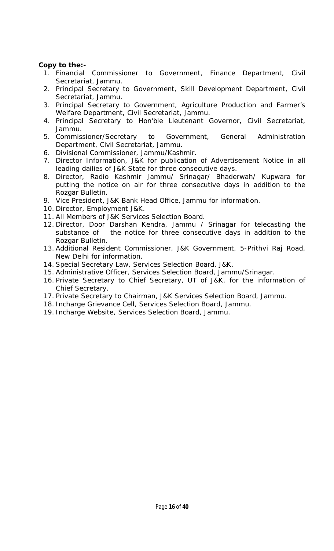**Copy to the:-** 

- 1. Financial Commissioner to Government, Finance Department, Civil Secretariat, Jammu.
- 2. Principal Secretary to Government, Skill Development Department, Civil Secretariat, Jammu.
- 3. Principal Secretary to Government, Agriculture Production and Farmer's Welfare Department, Civil Secretariat, Jammu.
- 4. Principal Secretary to Hon'ble Lieutenant Governor, Civil Secretariat, Jammu.
- 5. Commissioner/Secretary to Government, General Administration Department, Civil Secretariat, Jammu.
- 6. Divisional Commissioner, Jammu/Kashmir.
- 7. Director Information, J&K for publication of Advertisement Notice in all leading dailies of J&K State for three consecutive days.
- 8. Director, Radio Kashmir Jammu/ Srinagar/ Bhaderwah/ Kupwara for putting the notice on air for three consecutive days in addition to the Rozgar Bulletin.
- 9. Vice President, J&K Bank Head Office, Jammu for information.
- 10. Director, Employment J&K.
- 11. All Members of J&K Services Selection Board.
- 12. Director, Door Darshan Kendra, Jammu / Srinagar for telecasting the substance of the notice for three consecutive days in addition to the Rozgar Bulletin.
- 13. Additional Resident Commissioner, J&K Government, 5-Prithvi Raj Road, New Delhi for information.
- 14. Special Secretary Law, Services Selection Board, J&K.
- 15. Administrative Officer, Services Selection Board, Jammu/Srinagar.
- 16. Private Secretary to Chief Secretary, UT of J&K. for the information of Chief Secretary.
- 17. Private Secretary to Chairman, J&K Services Selection Board, Jammu.
- 18. Incharge Grievance Cell, Services Selection Board, Jammu.
- 19. Incharge Website, Services Selection Board, Jammu.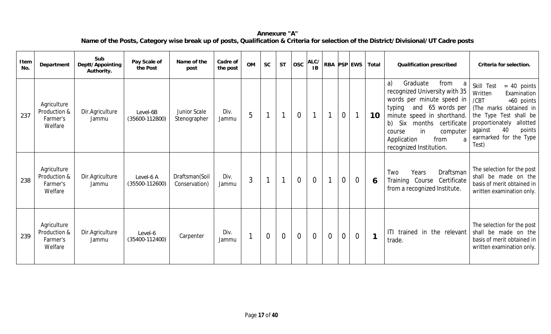**Annexure "A" Name of the Posts, Category wise break up of posts, Qualification & Criteria for selection of the District/Divisional/UT Cadre posts** 

| Item<br>No. | Department                                         | Sub<br>Deptt/Appointing<br>Authority. | Pay Scale of<br>the Post       | Name of the<br>post                 | Cadre of<br>the post | OM | SC             | <b>ST</b>      | <b>OSC</b>     | ALC/<br>IB.    |                |                |                | RBA PSP EWS   Total | Qualification prescribed                                                                                                                                                                                                                                               | Criteria for selection.                                                                                                                                                                                                           |
|-------------|----------------------------------------------------|---------------------------------------|--------------------------------|-------------------------------------|----------------------|----|----------------|----------------|----------------|----------------|----------------|----------------|----------------|---------------------|------------------------------------------------------------------------------------------------------------------------------------------------------------------------------------------------------------------------------------------------------------------------|-----------------------------------------------------------------------------------------------------------------------------------------------------------------------------------------------------------------------------------|
| 237         | Agriculture<br>Production &<br>Farmer's<br>Welfare | Dir.Agriculture<br>Jammu              | Level-6B<br>$(35600 - 112800)$ | <b>Junior Scale</b><br>Stenographer | Div.<br>Jammu        | 5  |                | $\mathbf 1$    | $\overline{0}$ |                |                | $\overline{0}$ |                | 10                  | Graduate<br>a)<br>from<br>recognized University with 35<br>words per minute speed in<br>and 65 words per<br>typing<br>minute speed in shorthand.<br>Six<br>months certificate<br>b)<br>in<br>computer<br>course<br>from<br>Application<br>a<br>recognized Institution. | Skill Test<br>$= 40$ points<br>Written<br>Examination<br>/CBT<br>$=60$ points<br>(The marks obtained in<br>the Type Test<br>shall be<br>proportionately<br>allotted<br>40<br>points<br>against<br>earmarked for the Type<br>Test) |
| 238         | Agriculture<br>Production &<br>Farmer's<br>Welfare | Dir.Agriculture<br>Jammu              | Level-6 A<br>$(35500-112600)$  | Draftsman(Soil<br>Conservation)     | Div.<br>Jammu        | 3  | $\mathbf{1}$   | $\mathbf 1$    | $\overline{0}$ | $\overline{0}$ | $\mathbf 1$    | $\overline{0}$ | $\overline{0}$ | 6                   | Years<br>Draftsman<br>Two<br>Training Course Certificate<br>from a recognized Institute.                                                                                                                                                                               | The selection for the post<br>shall be made on the<br>basis of merit obtained in<br>written examination only.                                                                                                                     |
| 239         | Agriculture<br>Production &<br>Farmer's<br>Welfare | Dir.Agriculture<br>Jammu              | Level-6<br>$(35400-112400)$    | Carpenter                           | Div.<br>Jammu        |    | $\overline{0}$ | $\overline{0}$ | $\overline{0}$ | $\overline{0}$ | $\overline{0}$ | $\overline{0}$ | $\overline{0}$ | $\overline{1}$      | ITI trained in the relevant<br>trade.                                                                                                                                                                                                                                  | The selection for the post<br>shall be made on the<br>basis of merit obtained in<br>written examination only.                                                                                                                     |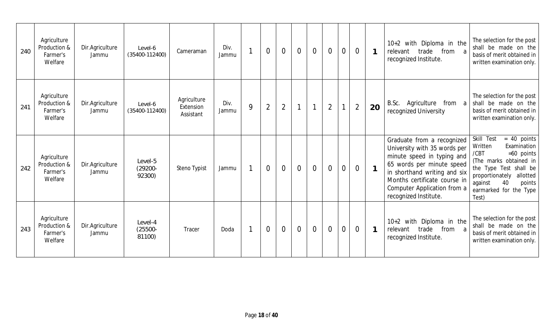| 240 | Agriculture<br>Production &<br>Farmer's<br>Welfare | Dir.Agriculture<br>Jammu | Level-6<br>$(35400 - 112400)$   | Cameraman                             | Div.<br>Jammu |   | $\overline{0}$ | $\overline{0}$ | $\overline{0}$ | $\overline{0}$ | $\overline{0}$ | $\overline{0}$ | $\overline{0}$ | $\mathbf 1$    | 10+2 with Diploma in the<br>trade<br>from<br>relevant<br>a<br>recognized Institute.                                                                                                                                                           | The selection for the post<br>shall be made on the<br>basis of merit obtained in<br>written examination only.                                                                                                                     |
|-----|----------------------------------------------------|--------------------------|---------------------------------|---------------------------------------|---------------|---|----------------|----------------|----------------|----------------|----------------|----------------|----------------|----------------|-----------------------------------------------------------------------------------------------------------------------------------------------------------------------------------------------------------------------------------------------|-----------------------------------------------------------------------------------------------------------------------------------------------------------------------------------------------------------------------------------|
| 241 | Agriculture<br>Production &<br>Farmer's<br>Welfare | Dir.Agriculture<br>Jammu | Level-6<br>$(35400 - 112400)$   | Agriculture<br>Extension<br>Assistant | Div.<br>Jammu | 9 | $\overline{2}$ | $\overline{2}$ | $\mathbf 1$    | $\mathbf{1}$   | $\overline{2}$ | $\mathbf{1}$   | $\overline{2}$ | 20             | B.Sc. Agriculture<br>from a<br>recognized University                                                                                                                                                                                          | The selection for the post<br>shall be made on the<br>basis of merit obtained in<br>written examination only.                                                                                                                     |
| 242 | Agriculture<br>Production &<br>Farmer's<br>Welfare | Dir.Agriculture<br>Jammu | Level-5<br>$(29200 -$<br>92300) | Steno Typist                          | Jammu         |   | $\overline{0}$ | $\overline{0}$ | $\overline{0}$ | $\overline{0}$ | $\overline{0}$ | $\overline{0}$ | $\overline{0}$ |                | Graduate from a recognized<br>University with 35 words per<br>minute speed in typing and<br>65 words per minute speed<br>in shorthand writing and six<br>Months certificate course in<br>Computer Application from a<br>recognized Institute. | Skill Test<br>$= 40$ points<br>Written<br>Examination<br>/CBT<br>$=60$ points<br>(The marks obtained in<br>the Type Test<br>shall be<br>proportionately<br>allotted<br>40<br>points<br>against<br>earmarked for the Type<br>Test) |
| 243 | Agriculture<br>Production &<br>Farmer's<br>Welfare | Dir.Agriculture<br>Jammu | Level-4<br>$(25500 -$<br>81100) | Tracer                                | Doda          |   | $\overline{0}$ | $\overline{0}$ | $\overline{0}$ | $\overline{0}$ | $\overline{0}$ | $\overline{0}$ | $\overline{0}$ | $\overline{1}$ | 10+2 with Diploma in the<br>trade<br>from<br>relevant<br>a<br>recognized Institute.                                                                                                                                                           | The selection for the post<br>shall be made on the<br>basis of merit obtained in<br>written examination only.                                                                                                                     |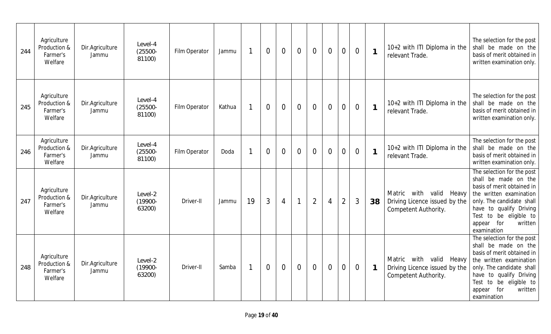| 244 | Agriculture<br>Production &<br>Farmer's<br>Welfare | Dir.Agriculture<br>Jammu | Level-4<br>$(25500 -$<br>81100) | Film Operator | Jammu  | $\mathbf 1$ | $\overline{0}$ | $\overline{0}$ | $\overline{0}$ | $\overline{0}$ | $\overline{0}$ | $\mathbf 0$    | $\overline{0}$ | $\mathbf{1}$ | 10+2 with ITI Diploma in the<br>relevant Trade.                                     | The selection for the post<br>shall be made on the<br>basis of merit obtained in<br>written examination only.                                                                                                                            |
|-----|----------------------------------------------------|--------------------------|---------------------------------|---------------|--------|-------------|----------------|----------------|----------------|----------------|----------------|----------------|----------------|--------------|-------------------------------------------------------------------------------------|------------------------------------------------------------------------------------------------------------------------------------------------------------------------------------------------------------------------------------------|
| 245 | Agriculture<br>Production &<br>Farmer's<br>Welfare | Dir.Agriculture<br>Jammu | Level-4<br>$(25500 -$<br>81100) | Film Operator | Kathua | $\mathbf 1$ | $\overline{0}$ | $\overline{0}$ | $\overline{0}$ | $\overline{0}$ | $\overline{0}$ | $\overline{0}$ | $\overline{0}$ | $\mathbf{1}$ | 10+2 with ITI Diploma in the<br>relevant Trade.                                     | The selection for the post<br>shall be made on the<br>basis of merit obtained in<br>written examination only.                                                                                                                            |
| 246 | Agriculture<br>Production &<br>Farmer's<br>Welfare | Dir.Agriculture<br>Jammu | Level-4<br>$(25500 -$<br>81100) | Film Operator | Doda   | 1           | $\overline{0}$ | $\overline{0}$ | $\overline{0}$ | $\Omega$       | $\overline{0}$ | $\overline{0}$ | $\overline{0}$ | $\mathbf{1}$ | 10+2 with ITI Diploma in the<br>relevant Trade.                                     | The selection for the post<br>shall be made on the<br>basis of merit obtained in<br>written examination only.                                                                                                                            |
| 247 | Agriculture<br>Production &<br>Farmer's<br>Welfare | Dir.Agriculture<br>Jammu | Level-2<br>$(19900 -$<br>63200) | Driver-II     | Jammu  | 19          | $\overline{3}$ | $\overline{4}$ | $\mathbf{1}$   | $\overline{2}$ | $\overline{4}$ | $\overline{2}$ | $\mathfrak{Z}$ | 38           | Matric with valid Heavy<br>Driving Licence issued by the<br>Competent Authority.    | The selection for the post<br>shall be made on the<br>basis of merit obtained in<br>the written examination<br>only. The candidate shall<br>have to qualify Driving<br>Test to be eligible to<br>appear for<br>written<br>examination    |
| 248 | Agriculture<br>Production &<br>Farmer's<br>Welfare | Dir.Agriculture<br>Jammu | Level-2<br>$(19900 -$<br>63200) | Driver-II     | Samba  | $\mathbf 1$ | $\overline{0}$ | $\overline{0}$ | $\overline{0}$ | $\overline{0}$ | $\overline{0}$ | $\overline{0}$ | $\overline{0}$ | $\mathbf{1}$ | with valid Heavy<br>Matric<br>Driving Licence issued by the<br>Competent Authority. | The selection for the post<br>shall be made on the<br>basis of merit obtained in<br>the written examination<br>only. The candidate shall<br>have to qualify Driving<br>Test to be eligible to<br>for<br>written<br>appear<br>examination |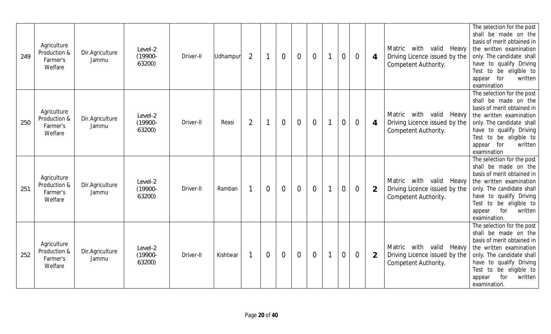| 249 | Agriculture<br>Production &<br>Farmer's<br>Welfare | Dir.Agriculture<br>Jammu | Level-2<br>$(19900 -$<br>63200) | Driver-II | Udhampur | $\overline{2}$ |                | $\overline{0}$ | $\overline{0}$ | $\overline{0}$ | $\mathbf{1}$ | $\overline{0}$ | $\overline{0}$ | $\overline{4}$ | Matric with valid Heavy<br>Driving Licence issued by the<br>Competent Authority.    | The selection for the post<br>shall be made on the<br>basis of merit obtained in<br>the written examination<br>only. The candidate shall<br>have to qualify Driving<br>Test to be eligible to<br>for<br>written<br>appear<br>examination  |
|-----|----------------------------------------------------|--------------------------|---------------------------------|-----------|----------|----------------|----------------|----------------|----------------|----------------|--------------|----------------|----------------|----------------|-------------------------------------------------------------------------------------|-------------------------------------------------------------------------------------------------------------------------------------------------------------------------------------------------------------------------------------------|
| 250 | Agriculture<br>Production &<br>Farmer's<br>Welfare | Dir.Agriculture<br>Jammu | Level-2<br>$(19900 -$<br>63200) | Driver-II | Reasi    | $\overline{2}$ | $\mathbf{1}$   | $\overline{0}$ | $\overline{0}$ | $\overline{0}$ | $\mathbf{1}$ | $\overline{0}$ | $\overline{0}$ | $\overline{4}$ | Matric with valid Heavy<br>Driving Licence issued by the<br>Competent Authority.    | The selection for the post<br>shall be made on the<br>basis of merit obtained in<br>the written examination<br>only. The candidate shall<br>have to qualify Driving<br>Test to be eligible to<br>written<br>for<br>appear<br>examination  |
| 251 | Agriculture<br>Production &<br>Farmer's<br>Welfare | Dir.Agriculture<br>Jammu | Level-2<br>$(19900 -$<br>63200) | Driver-II | Ramban   | 1              | $\overline{0}$ | $\overline{0}$ | $\overline{0}$ | $\overline{0}$ | $\mathbf{1}$ | $\overline{0}$ | $\overline{0}$ | $\overline{2}$ | with valid Heavy<br>Matric<br>Driving Licence issued by the<br>Competent Authority. | The selection for the post<br>shall be made on the<br>basis of merit obtained in<br>the written examination<br>only. The candidate shall<br>have to qualify Driving<br>Test to be eligible to<br>for<br>written<br>appear<br>examination. |
| 252 | Agriculture<br>Production &<br>Farmer's<br>Welfare | Dir.Agriculture<br>Jammu | Level-2<br>$(19900 -$<br>63200) | Driver-II | Kishtwar |                | $\overline{0}$ | $\overline{0}$ | $\overline{0}$ | $\overline{0}$ |              | $\overline{0}$ | $\overline{0}$ | $\overline{2}$ | with valid Heavy<br>Matric<br>Driving Licence issued by the<br>Competent Authority. | The selection for the post<br>shall be made on the<br>basis of merit obtained in<br>the written examination<br>only. The candidate shall<br>have to qualify Driving<br>Test to be eligible to<br>for<br>written<br>appear<br>examination. |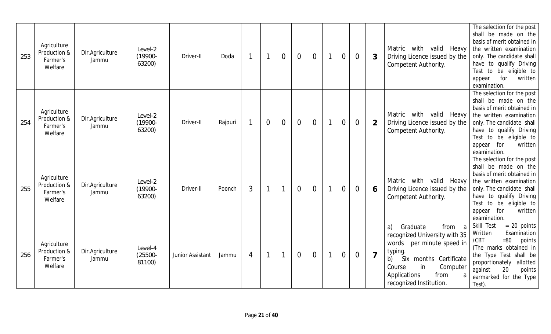| 253 | Agriculture<br>Production &<br>Farmer's<br>Welfare | Dir.Agriculture<br>Jammu | Level-2<br>$(19900 -$<br>63200) | Driver-II        | Doda    | 1              | 1              | $\overline{0}$ | $\overline{0}$ | $\overline{0}$ | $\overline{1}$ | $\overline{0}$ | $\overline{0}$ | 3              | Matric with valid Heavy<br>Driving Licence issued by the<br>Competent Authority.                                                                                                                                            | The selection for the post<br>shall be made on the<br>basis of merit obtained in<br>the written examination<br>only. The candidate shall<br>have to qualify Driving<br>Test to be eligible to<br>for<br>written<br>appear<br>examination. |
|-----|----------------------------------------------------|--------------------------|---------------------------------|------------------|---------|----------------|----------------|----------------|----------------|----------------|----------------|----------------|----------------|----------------|-----------------------------------------------------------------------------------------------------------------------------------------------------------------------------------------------------------------------------|-------------------------------------------------------------------------------------------------------------------------------------------------------------------------------------------------------------------------------------------|
| 254 | Agriculture<br>Production &<br>Farmer's<br>Welfare | Dir.Agriculture<br>Jammu | Level-2<br>$(19900 -$<br>63200) | Driver-II        | Rajouri |                | $\overline{0}$ | $\overline{0}$ | $\overline{0}$ | $\overline{0}$ | $\mathbf{1}$   | $\overline{0}$ | $\overline{0}$ | $\overline{2}$ | Matric with valid Heavy<br>Driving Licence issued by the<br>Competent Authority.                                                                                                                                            | The selection for the post<br>shall be made on the<br>basis of merit obtained in<br>the written examination<br>only. The candidate shall<br>have to qualify Driving<br>Test to be eligible to<br>for<br>written<br>appear<br>examination. |
| 255 | Agriculture<br>Production &<br>Farmer's<br>Welfare | Dir.Agriculture<br>Jammu | Level-2<br>$(19900 -$<br>63200) | Driver-II        | Poonch  | 3              | $\mathbf{1}$   | $\mathbf{1}$   | $\Omega$       | $\overline{0}$ | $\mathbf{1}$   | $\overline{0}$ | $\overline{0}$ | 6              | Matric with valid Heavy<br>Driving Licence issued by the<br>Competent Authority.                                                                                                                                            | The selection for the post<br>shall be made on the<br>basis of merit obtained in<br>the written examination<br>only. The candidate shall<br>have to qualify Driving<br>Test to be eligible to<br>for<br>written<br>appear<br>examination. |
| 256 | Agriculture<br>Production &<br>Farmer's<br>Welfare | Dir.Agriculture<br>Jammu | Level-4<br>$(25500 -$<br>81100) | Junior Assistant | Jammu   | $\overline{4}$ |                |                | $\overline{0}$ | $\overline{0}$ | $\mathbf{1}$   | $\overline{0}$ | $\overline{0}$ | $\overline{7}$ | Graduate<br>from<br>a)<br>a<br>recognized University with 35<br>per minute speed in<br>words<br>typing.<br>Six months Certificate<br>b)<br>in<br>Computer<br>Course<br>Applications<br>from<br>a<br>recognized Institution. | $= 20$ points<br>Skill Test<br>Examination<br>Written<br>/CBT<br>$-80$<br>points<br>(The marks obtained in<br>the Type Test shall be<br>proportionately<br>allotted<br>20<br>against<br>points<br>earmarked for the Type<br>Test).        |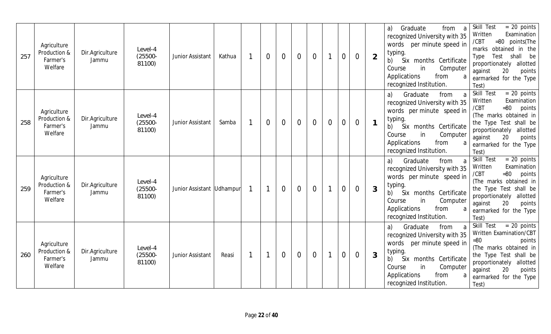| 257 | Agriculture<br>Production &<br>Farmer's<br>Welfare | Dir.Agriculture<br>Jammu | Level-4<br>$(25500 -$<br>81100) | Junior Assistant          | Kathua |             | $\overline{0}$ | $\overline{0}$ | $\overline{0}$ | $\overline{0}$ | $\mathbf{1}$   | $\overline{0}$ | $\overline{0}$ | $\overline{2}$ | Graduate<br>from<br>a)<br>recognized University with 35<br>words per minute speed in<br>typing.<br>Six months Certificate<br>b)<br>Course<br>in<br>Computer<br>from<br>Applications<br>a<br>recognized Institution.      | $= 20$ points<br>Skill Test<br>Examination<br>Written<br>=80 points(The<br>/CBT<br>obtained in the<br>marks<br>Test shall be<br>Type<br>proportionately allotted<br>20<br>against<br>points<br>earmarked for the Type<br>Test)    |
|-----|----------------------------------------------------|--------------------------|---------------------------------|---------------------------|--------|-------------|----------------|----------------|----------------|----------------|----------------|----------------|----------------|----------------|--------------------------------------------------------------------------------------------------------------------------------------------------------------------------------------------------------------------------|-----------------------------------------------------------------------------------------------------------------------------------------------------------------------------------------------------------------------------------|
| 258 | Agriculture<br>Production &<br>Farmer's<br>Welfare | Dir.Agriculture<br>Jammu | Level-4<br>$(25500 -$<br>81100) | Junior Assistant          | Samba  | $\mathbf 1$ | $\overline{0}$ | $\overline{0}$ | $\overline{0}$ | $\overline{0}$ | $\overline{0}$ | $\overline{0}$ | $\overline{0}$ |                | Graduate<br>from<br>a)<br>a<br>recognized University with 35<br>words per minute speed in<br>typing.<br>Six months Certificate<br>b)<br>Computer<br>Course<br>in<br>Applications<br>from<br>a<br>recognized Institution. | Skill Test<br>$= 20$ points<br>Written<br>Examination<br>$=80$<br>/CBT<br>points<br>(The marks obtained in<br>the Type Test shall be<br>proportionately<br>allotted<br>against<br>20<br>points<br>earmarked for the Type<br>Test) |
| 259 | Agriculture<br>Production &<br>Farmer's<br>Welfare | Dir.Agriculture<br>Jammu | Level-4<br>$(25500 -$<br>81100) | Junior Assistant Udhampur |        |             | 1              | $\overline{0}$ | $\overline{0}$ | $\overline{0}$ | $\mathbf{1}$   | $\overline{0}$ | $\overline{0}$ | 3              | Graduate<br>a)<br>from<br>a<br>recognized University with 35<br>words per minute speed in<br>typing.<br>Six months Certificate<br>b)<br>in<br>Computer<br>Course<br>Applications<br>from<br>a<br>recognized Institution. | Skill Test<br>$= 20$ points<br>Examination<br>Written<br>/CBT<br>$=80$<br>points<br>(The marks obtained in<br>the Type Test shall be<br>proportionately allotted<br>20<br>against<br>points<br>earmarked for the Type<br>Test)    |
| 260 | Agriculture<br>Production &<br>Farmer's<br>Welfare | Dir.Agriculture<br>Jammu | Level-4<br>$(25500 -$<br>81100) | Junior Assistant          | Reasi  |             |                | $\overline{0}$ | $\overline{0}$ | $\overline{0}$ | $\mathbf{1}$   | $\overline{0}$ | $\overline{0}$ | 3              | Graduate<br>a)<br>from<br>recognized University with 35<br>words per minute speed in<br>typing.<br>Six months Certificate<br>b)<br>in<br>Computer<br>Course<br>Applications<br>from<br>a<br>recognized Institution.      | $= 20$ points<br>Skill Test<br>Written Examination/CBT<br>$=80$<br>points<br>(The marks obtained in<br>the Type Test shall be<br>proportionately<br>allotted<br>20<br>against<br>points<br>earmarked for the Type<br>Test)        |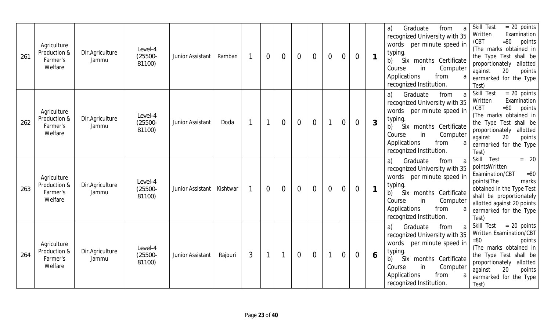| 261 | Agriculture<br>Production &<br>Farmer's<br>Welfare | Dir.Agriculture<br>Jammu | Level-4<br>$(25500 -$<br>81100) | Junior Assistant | Ramban                  |   | $\overline{0}$ | $\overline{0}$ | $\overline{0}$ | $\overline{0}$ | $\overline{0}$ | 0              | $\overline{0}$ | 1            | Graduate<br>from<br>a)<br>recognized University with 35<br>words per minute speed in<br>typing.<br>Six months Certificate<br>b)<br>Course<br>in<br>Computer<br>Applications<br>from<br>recognized Institution.                 | Skill Test<br>$= 20$ points<br>Written<br>Examination<br>/CBT<br>$=80$<br>points<br>(The marks obtained in<br>the Type Test shall be<br>proportionately<br>allotted<br>20<br>against<br>points<br>earmarked for the Type<br>Test) |
|-----|----------------------------------------------------|--------------------------|---------------------------------|------------------|-------------------------|---|----------------|----------------|----------------|----------------|----------------|----------------|----------------|--------------|--------------------------------------------------------------------------------------------------------------------------------------------------------------------------------------------------------------------------------|-----------------------------------------------------------------------------------------------------------------------------------------------------------------------------------------------------------------------------------|
| 262 | Agriculture<br>Production &<br>Farmer's<br>Welfare | Dir.Agriculture<br>Jammu | Level-4<br>$(25500 -$<br>81100) | Junior Assistant | Doda                    |   |                | $\overline{0}$ | $\overline{0}$ | $\overline{0}$ |                | $\overline{0}$ | $\overline{0}$ | 3            | Graduate<br>from<br>a)<br><sub>a</sub><br>recognized University with 35<br>words per minute speed in<br>typing.<br>Six months Certificate<br>b)<br>Course<br>in<br>Computer<br>Applications<br>from<br>recognized Institution. | Skill Test<br>$= 20$ points<br>Written<br>Examination<br>$-80$<br>/CBT<br>points<br>(The marks obtained in<br>the Type Test shall be<br>proportionately<br>allotted<br>20<br>against<br>points<br>earmarked for the Type<br>Test) |
| 263 | Agriculture<br>Production &<br>Farmer's<br>Welfare | Dir.Agriculture<br>Jammu | Level-4<br>$(25500 -$<br>81100) | Junior Assistant | Kishtwar<br>$\mathbf 1$ |   | $\overline{0}$ | $\Omega$       | $\overline{0}$ | $\overline{0}$ | $\overline{0}$ | $\overline{0}$ | $\overline{0}$ | $\mathbf{1}$ | Graduate<br>from<br>a)<br><sub>a</sub><br>recognized University with 35<br>words per minute speed in<br>typing.<br>Six months Certificate<br>b)<br>Course<br>in<br>Computer<br>Applications<br>from<br>recognized Institution. | Skill<br>Test<br>$= 20$<br>pointsWritten<br>Examination/CBT<br>$=80$<br>points(The<br>marks<br>obtained in the Type Test<br>shall be proportionately<br>allotted against 20 points<br>earmarked for the Type<br>Test)             |
| 264 | Agriculture<br>Production &<br>Farmer's<br>Welfare | Dir.Agriculture<br>Jammu | Level-4<br>$(25500 -$<br>81100) | Junior Assistant | Rajouri                 | 3 |                |                | $\overline{0}$ | $\overline{0}$ |                | 0              | $\overline{0}$ | 6            | Graduate<br>a)<br>from<br>recognized University with 35<br>words<br>per minute speed in<br>typing.<br>Six months Certificate<br>b)<br>Course<br>in<br>Computer<br>Applications<br>from<br>recognized Institution.              | Skill Test = 20 points<br>Written Examination/CBT<br>$=80$<br>points<br>(The marks obtained in<br>the Type Test shall be<br>proportionately<br>allotted<br>20<br>against<br>points<br>earmarked for the Type<br>Test)             |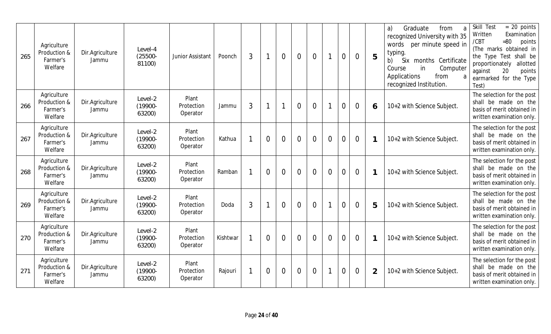| 265 | Agriculture<br>Production &<br>Farmer's<br>Welfare | Dir.Agriculture<br>Jammu | Level-4<br>$(25500 -$<br>81100) | Junior Assistant                | Poonch   | 3 | $\mathbf 1$    | $\overline{0}$ | $\Omega$       | $\overline{0}$ |                | $\overline{0}$ | $\overline{0}$ | 5              | Graduate<br>from<br>a)<br>a<br>recognized University with 35<br>words<br>per minute speed in<br>typing.<br>Six months Certificate<br>b)<br>Course<br>in<br>Computer<br>Applications<br>from<br>a<br>recognized Institution. | Skill Test<br>$= 20$ points<br>Examination<br>Written<br>$=80$<br>/CBT<br>points<br>(The marks obtained in<br>shall be<br>the Type Test<br>proportionately<br>allotted<br>20<br>against<br>points<br>earmarked for the Type<br>Test) |
|-----|----------------------------------------------------|--------------------------|---------------------------------|---------------------------------|----------|---|----------------|----------------|----------------|----------------|----------------|----------------|----------------|----------------|-----------------------------------------------------------------------------------------------------------------------------------------------------------------------------------------------------------------------------|--------------------------------------------------------------------------------------------------------------------------------------------------------------------------------------------------------------------------------------|
| 266 | Agriculture<br>Production &<br>Farmer's<br>Welfare | Dir.Agriculture<br>Jammu | Level-2<br>$(19900 -$<br>63200) | Plant<br>Protection<br>Operator | Jammu    | 3 | $\mathbf 1$    | $\mathbf{1}$   | $\Omega$       | $\overline{0}$ |                | $\overline{0}$ | $\overline{0}$ | 6              | 10+2 with Science Subject.                                                                                                                                                                                                  | The selection for the post<br>shall be made on the<br>basis of merit obtained in<br>written examination only.                                                                                                                        |
| 267 | Agriculture<br>Production &<br>Farmer's<br>Welfare | Dir.Agriculture<br>Jammu | Level-2<br>$(19900 -$<br>63200) | Plant<br>Protection<br>Operator | Kathua   |   | $\overline{0}$ | $\overline{0}$ | $\overline{0}$ | $\overline{0}$ | $\overline{0}$ | $\overline{0}$ | $\overline{0}$ | $\mathbf 1$    | 10+2 with Science Subject.                                                                                                                                                                                                  | The selection for the post<br>shall be made on the<br>basis of merit obtained in<br>written examination only.                                                                                                                        |
| 268 | Agriculture<br>Production &<br>Farmer's<br>Welfare | Dir.Agriculture<br>Jammu | Level-2<br>$(19900 -$<br>63200) | Plant<br>Protection<br>Operator | Ramban   |   | $\overline{0}$ | $\overline{0}$ | $\Omega$       | $\overline{0}$ | $\overline{0}$ | $\overline{0}$ | $\overline{0}$ | $\mathbf{1}$   | 10+2 with Science Subject.                                                                                                                                                                                                  | The selection for the post<br>shall be made on the<br>basis of merit obtained in<br>written examination only.                                                                                                                        |
| 269 | Agriculture<br>Production &<br>Farmer's<br>Welfare | Dir.Agriculture<br>Jammu | Level-2<br>$(19900 -$<br>63200) | Plant<br>Protection<br>Operator | Doda     | 3 |                | $\overline{0}$ | $\overline{0}$ | $\overline{0}$ |                | $\overline{0}$ | $\overline{0}$ | 5              | 10+2 with Science Subject.                                                                                                                                                                                                  | The selection for the post<br>shall be made on the<br>basis of merit obtained in<br>written examination only.                                                                                                                        |
| 270 | Agriculture<br>Production &<br>Farmer's<br>Welfare | Dir.Agriculture<br>Jammu | Level-2<br>$(19900 -$<br>63200) | Plant<br>Protection<br>Operator | Kishtwar |   | $\overline{0}$ | $\Omega$       | $\Omega$       | $\overline{0}$ | $\overline{0}$ | $\overline{0}$ | $\overline{0}$ | $\overline{1}$ | 10+2 with Science Subject.                                                                                                                                                                                                  | The selection for the post<br>shall be made on the<br>basis of merit obtained in<br>written examination only.                                                                                                                        |
| 271 | Agriculture<br>Production &<br>Farmer's<br>Welfare | Dir.Agriculture<br>Jammu | Level-2<br>$(19900 -$<br>63200) | Plant<br>Protection<br>Operator | Rajouri  |   | $\overline{0}$ | $\overline{0}$ | $\overline{0}$ | $\overline{0}$ |                | $\overline{0}$ | $\overline{0}$ | $\overline{2}$ | 10+2 with Science Subject.                                                                                                                                                                                                  | The selection for the post<br>shall be made on the<br>basis of merit obtained in<br>written examination only.                                                                                                                        |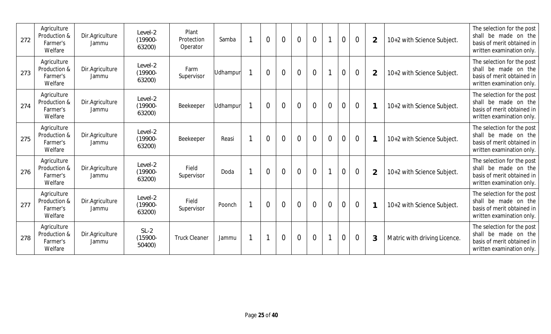| 272 | Agriculture<br>Production &<br>Farmer's<br>Welfare | Dir.Agriculture<br>Jammu | Level-2<br>$(19900 -$<br>63200) | Plant<br>Protection<br>Operator | Samba    | $\overline{0}$ | $\Omega$       | $\overline{0}$ | $\overline{0}$ | $\mathbf{1}$             | $\overline{0}$ | $\overline{0}$ | $\overline{2}$ | 10+2 with Science Subject.   | The selection for the post<br>shall be made on the<br>basis of merit obtained in<br>written examination only. |
|-----|----------------------------------------------------|--------------------------|---------------------------------|---------------------------------|----------|----------------|----------------|----------------|----------------|--------------------------|----------------|----------------|----------------|------------------------------|---------------------------------------------------------------------------------------------------------------|
| 273 | Agriculture<br>Production &<br>Farmer's<br>Welfare | Dir.Agriculture<br>Jammu | Level-2<br>$(19900 -$<br>63200) | Farm<br>Supervisor              | Udhampur | $\overline{0}$ | $\Omega$       | $\overline{0}$ | $\overline{0}$ | $\mathbf 1$              | $\overline{0}$ | $\overline{0}$ | $\overline{2}$ | 10+2 with Science Subject.   | The selection for the post<br>shall be made on the<br>basis of merit obtained in<br>written examination only. |
| 274 | Agriculture<br>Production &<br>Farmer's<br>Welfare | Dir.Agriculture<br>Jammu | Level-2<br>$(19900 -$<br>63200) | Beekeeper                       | Udhampur | $\overline{0}$ | $\Omega$       | $\overline{0}$ | $\overline{0}$ | $\overline{0}$           | $\overline{0}$ | $\overline{0}$ | 1              | 10+2 with Science Subject.   | The selection for the post<br>shall be made on the<br>basis of merit obtained in<br>written examination only. |
| 275 | Agriculture<br>Production &<br>Farmer's<br>Welfare | Dir.Agriculture<br>Jammu | Level-2<br>$(19900 -$<br>63200) | Beekeeper                       | Reasi    | $\overline{0}$ | $\overline{0}$ | $\overline{0}$ | $\overline{0}$ | $\overline{0}$           | $\overline{0}$ | $\overline{0}$ | $\mathbf 1$    | 10+2 with Science Subject.   | The selection for the post<br>shall be made on the<br>basis of merit obtained in<br>written examination only. |
| 276 | Agriculture<br>Production &<br>Farmer's<br>Welfare | Dir.Agriculture<br>Jammu | Level-2<br>$(19900 -$<br>63200) | Field<br>Supervisor             | Doda     | $\overline{0}$ | $\Omega$       | $\overline{0}$ | $\overline{0}$ | $\overline{\phantom{a}}$ | $\overline{0}$ | $\overline{0}$ | $\overline{2}$ | 10+2 with Science Subject.   | The selection for the post<br>shall be made on the<br>basis of merit obtained in<br>written examination only. |
| 277 | Agriculture<br>Production &<br>Farmer's<br>Welfare | Dir.Agriculture<br>Jammu | Level-2<br>$(19900 -$<br>63200) | Field<br>Supervisor             | Poonch   | $\Omega$       | $\overline{0}$ | $\overline{0}$ | $\overline{0}$ | $\overline{0}$           | $\overline{0}$ | $\overline{0}$ | 1              | 10+2 with Science Subject.   | The selection for the post<br>shall be made on the<br>basis of merit obtained in<br>written examination only. |
| 278 | Agriculture<br>Production &<br>Farmer's<br>Welfare | Dir.Agriculture<br>Jammu | $SL-2$<br>$(15900 -$<br>50400)  | <b>Truck Cleaner</b>            | Jammu    |                | $\overline{0}$ | $\overline{0}$ | $\overline{0}$ | $\overline{\phantom{a}}$ | $\overline{0}$ | $\overline{0}$ | 3              | Matric with driving Licence. | The selection for the post<br>shall be made on the<br>basis of merit obtained in<br>written examination only. |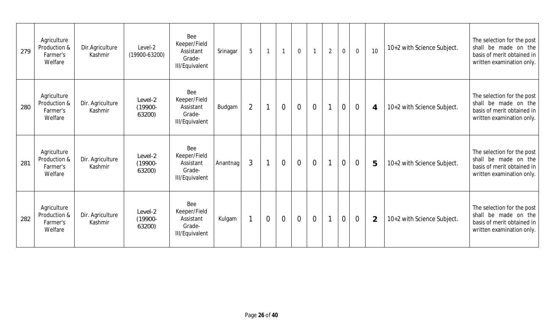| 279 | Agriculture<br>Production &<br>Farmer's<br>Welfare | Dir.Agriculture<br>Kashmir  | Level-2<br>$(19900-63200)$      | Bee<br>Keeper/Field<br>Assistant<br>Grade-<br><b>III/Equivalent</b> | Srinagar | 5              | $\mathbf{1}$   |                | $\overline{0}$ |                | $\overline{2}$ | $\overline{0}$ | $\overline{0}$ | 10             | 10+2 with Science Subject. | The selection for the post<br>shall be made on the<br>basis of merit obtained in<br>written examination only. |
|-----|----------------------------------------------------|-----------------------------|---------------------------------|---------------------------------------------------------------------|----------|----------------|----------------|----------------|----------------|----------------|----------------|----------------|----------------|----------------|----------------------------|---------------------------------------------------------------------------------------------------------------|
| 280 | Agriculture<br>Production &<br>Farmer's<br>Welfare | Dir. Agriculture<br>Kashmir | Level-2<br>$(19900 -$<br>63200) | Bee<br>Keeper/Field<br>Assistant<br>Grade-<br><b>III/Equivalent</b> | Budgam   | $\overline{2}$ | 1              | $\overline{0}$ | $\overline{0}$ | $\overline{0}$ | $\overline{1}$ | $\overline{0}$ | $\overline{0}$ | $\overline{4}$ | 10+2 with Science Subject. | The selection for the post<br>shall be made on the<br>basis of merit obtained in<br>written examination only. |
| 281 | Agriculture<br>Production &<br>Farmer's<br>Welfare | Dir. Agriculture<br>Kashmir | Level-2<br>$(19900 -$<br>63200) | Bee<br>Keeper/Field<br>Assistant<br>Grade-<br><b>III/Equivalent</b> | Anantnag | 3              | $\mathbf{1}$   | $\overline{0}$ | $\overline{0}$ | $\overline{0}$ | $\overline{1}$ | $\overline{0}$ | $\overline{0}$ | 5              | 10+2 with Science Subject. | The selection for the post<br>shall be made on the<br>basis of merit obtained in<br>written examination only. |
| 282 | Agriculture<br>Production &<br>Farmer's<br>Welfare | Dir. Agriculture<br>Kashmir | Level-2<br>$(19900 -$<br>63200) | Bee<br>Keeper/Field<br>Assistant<br>Grade-<br><b>III/Equivalent</b> | Kulgam   |                | $\overline{0}$ | $\overline{0}$ | $\overline{0}$ | $\overline{0}$ | $\mathbf 1$    | $\overline{0}$ | $\overline{0}$ | $\overline{2}$ | 10+2 with Science Subject. | The selection for the post<br>shall be made on the<br>basis of merit obtained in<br>written examination only. |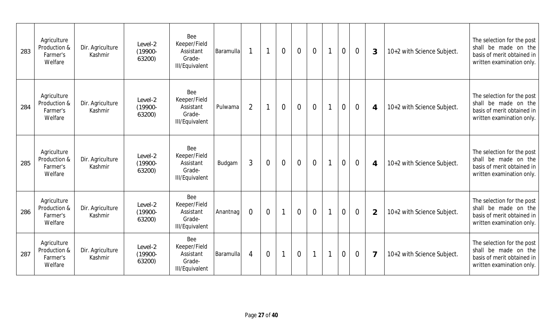| 283 | Agriculture<br>Production &<br>Farmer's<br>Welfare | Dir. Agriculture<br>Kashmir | Level-2<br>$(19900 -$<br>63200) | Bee<br>Keeper/Field<br>Assistant<br>Grade-<br><b>III/Equivalent</b> | Baramulla |                | 1              | $\overline{0}$ | $\overline{0}$ | $\overline{0}$ | $\mathbf{1}$ | $\overline{0}$ | $\overline{0}$ | $\mathcal{S}$  | 10+2 with Science Subject. | The selection for the post<br>shall be made on the<br>basis of merit obtained in<br>written examination only. |
|-----|----------------------------------------------------|-----------------------------|---------------------------------|---------------------------------------------------------------------|-----------|----------------|----------------|----------------|----------------|----------------|--------------|----------------|----------------|----------------|----------------------------|---------------------------------------------------------------------------------------------------------------|
| 284 | Agriculture<br>Production &<br>Farmer's<br>Welfare | Dir. Agriculture<br>Kashmir | Level-2<br>$(19900 -$<br>63200) | Bee<br>Keeper/Field<br>Assistant<br>Grade-<br><b>III/Equivalent</b> | Pulwama   | $\overline{2}$ |                | $\overline{0}$ | $\overline{0}$ | $\overline{0}$ | $\mathbf{1}$ | $\overline{0}$ | $\overline{0}$ | $\overline{4}$ | 10+2 with Science Subject. | The selection for the post<br>shall be made on the<br>basis of merit obtained in<br>written examination only. |
| 285 | Agriculture<br>Production &<br>Farmer's<br>Welfare | Dir. Agriculture<br>Kashmir | Level-2<br>$(19900 -$<br>63200) | Bee<br>Keeper/Field<br>Assistant<br>Grade-<br><b>III/Equivalent</b> | Budgam    | 3              | $\overline{0}$ | $\overline{0}$ | $\overline{0}$ | $\overline{0}$ | $\mathbf{1}$ | $\overline{0}$ | $\overline{0}$ | $\overline{4}$ | 10+2 with Science Subject. | The selection for the post<br>shall be made on the<br>basis of merit obtained in<br>written examination only. |
| 286 | Agriculture<br>Production &<br>Farmer's<br>Welfare | Dir. Agriculture<br>Kashmir | Level-2<br>$(19900 -$<br>63200) | Bee<br>Keeper/Field<br>Assistant<br>Grade-<br><b>III/Equivalent</b> | Anantnag  | $\overline{0}$ | $\Omega$       | $\overline{1}$ | $\overline{0}$ | $\overline{0}$ | $\mathbf{1}$ | $\overline{0}$ | $\overline{0}$ | 2              | 10+2 with Science Subject. | The selection for the post<br>shall be made on the<br>basis of merit obtained in<br>written examination only. |
| 287 | Agriculture<br>Production &<br>Farmer's<br>Welfare | Dir. Agriculture<br>Kashmir | Level-2<br>$(19900 -$<br>63200) | Bee<br>Keeper/Field<br>Assistant<br>Grade-<br><b>III/Equivalent</b> | Baramulla | 4              | $\Omega$       | $\mathbf{1}$   | $\overline{0}$ | $\mathbf 1$    | $\mathbf{1}$ | $\theta$       | $\overline{0}$ | $\overline{7}$ | 10+2 with Science Subject. | The selection for the post<br>shall be made on the<br>basis of merit obtained in<br>written examination only. |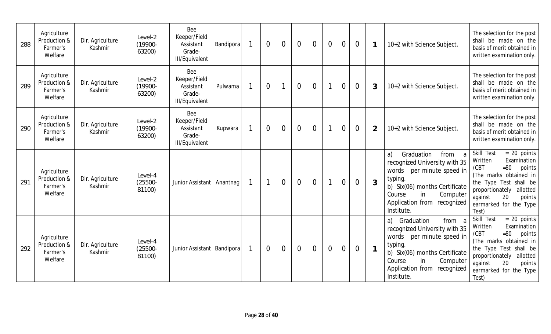| 288 | Agriculture<br>Production &<br>Farmer's<br>Welfare | Dir. Agriculture<br>Kashmir | Level-2<br>$(19900 -$<br>63200) | Bee<br>Keeper/Field<br>Assistant<br>Grade-<br><b>III/Equivalent</b> | Bandipora | $\overline{0}$ | $\overline{0}$ | $\overline{0}$ | $\overline{0}$ | $\overline{0}$ | $\overline{0}$ | $\overline{0}$ | $\mathbf 1$    | 10+2 with Science Subject.                                                                                                                                                                                       | The selection for the post<br>shall be made on the<br>basis of merit obtained in<br>written examination only.                                                                                                                     |
|-----|----------------------------------------------------|-----------------------------|---------------------------------|---------------------------------------------------------------------|-----------|----------------|----------------|----------------|----------------|----------------|----------------|----------------|----------------|------------------------------------------------------------------------------------------------------------------------------------------------------------------------------------------------------------------|-----------------------------------------------------------------------------------------------------------------------------------------------------------------------------------------------------------------------------------|
| 289 | Agriculture<br>Production &<br>Farmer's<br>Welfare | Dir. Agriculture<br>Kashmir | Level-2<br>$(19900 -$<br>63200) | Bee<br>Keeper/Field<br>Assistant<br>Grade-<br><b>III/Equivalent</b> | Pulwama   | $\overline{0}$ |                | $\overline{0}$ | $\overline{0}$ |                | $\overline{0}$ | $\overline{0}$ | 3              | 10+2 with Science Subject.                                                                                                                                                                                       | The selection for the post<br>shall be made on the<br>basis of merit obtained in<br>written examination only.                                                                                                                     |
| 290 | Agriculture<br>Production &<br>Farmer's<br>Welfare | Dir. Agriculture<br>Kashmir | Level-2<br>$(19900 -$<br>63200) | Bee<br>Keeper/Field<br>Assistant<br>Grade-<br><b>III/Equivalent</b> | Kupwara   | $\overline{0}$ | $\overline{0}$ | $\overline{0}$ | $\overline{0}$ |                | $\overline{0}$ | $\overline{0}$ | $\overline{2}$ | 10+2 with Science Subject.                                                                                                                                                                                       | The selection for the post<br>shall be made on the<br>basis of merit obtained in<br>written examination only.                                                                                                                     |
| 291 | Agriculture<br>Production &<br>Farmer's<br>Welfare | Dir. Agriculture<br>Kashmir | Level-4<br>$(25500 -$<br>81100) | Junior Assistant   Anantnag                                         |           | $\mathbf{1}$   | $\overline{0}$ | $\overline{0}$ | $\overline{0}$ |                | $\overline{0}$ | $\overline{0}$ | 3              | Graduation<br>from<br>a)<br>a<br>recognized University with 35<br>words per minute speed in<br>typing.<br>b) Six(06) months Certificate<br>in<br>Computer<br>Course<br>Application from recognized<br>Institute. | $= 20$ points<br>Skill Test<br>Examination<br>Written<br>$-80$<br>/CBT<br>points<br>(The marks obtained in<br>the Type Test shall be<br>proportionately<br>allotted<br>20<br>against<br>points<br>earmarked for the Type<br>Test) |
| 292 | Agriculture<br>Production &<br>Farmer's<br>Welfare | Dir. Agriculture<br>Kashmir | Level-4<br>$(25500 -$<br>81100) | Junior Assistant   Bandipora                                        |           | $\overline{0}$ | $\overline{0}$ | $\overline{0}$ | $\overline{0}$ | $\overline{0}$ | $\overline{0}$ | $\overline{0}$ |                | a) Graduation<br>from<br>a<br>recognized University with 35<br>words per minute speed in<br>typing.<br>b) Six(06) months Certificate<br>in<br>Course<br>Computer<br>Application from recognized<br>Institute.    | Skill Test<br>$= 20$ points<br>Examination<br>Written<br>$-80$<br>/CBT<br>points<br>(The marks obtained in<br>the Type Test shall be<br>allotted<br>proportionately<br>20<br>against<br>points<br>earmarked for the Type<br>Test) |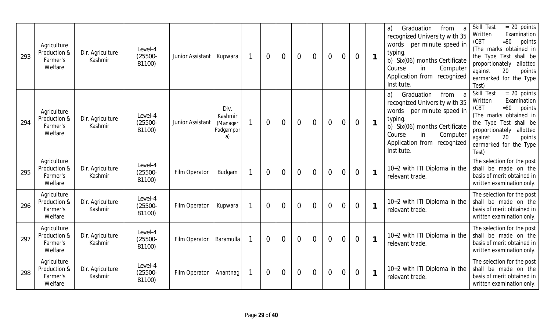| 293 | Agriculture<br>Production &<br>Farmer's<br>Welfare | Dir. Agriculture<br>Kashmir | Level-4<br>$(25500 -$<br>81100) | Junior Assistant | Kupwara                                        |    | $\overline{0}$ | $\overline{0}$ | $\overline{0}$ | $\overline{0}$ | $\overline{0}$ | $\mathbf 0$      | $\overline{0}$ | $\mathbf{1}$   | from<br>Graduation<br>a)<br>recognized University with 35<br>per minute speed in<br>words<br>typing.<br>Six(06) months Certificate<br>b)<br>Course<br>in<br>Computer<br>Application from recognized<br>Institute.    | Skill Test<br>$= 20$ points<br>Examination<br>Written<br>/CBT<br>$=80$<br>points<br>(The marks obtained in<br>the Type Test shall be<br>allotted<br>proportionately<br>20<br>points<br>against<br>earmarked for the Type<br>Test) |
|-----|----------------------------------------------------|-----------------------------|---------------------------------|------------------|------------------------------------------------|----|----------------|----------------|----------------|----------------|----------------|------------------|----------------|----------------|----------------------------------------------------------------------------------------------------------------------------------------------------------------------------------------------------------------------|-----------------------------------------------------------------------------------------------------------------------------------------------------------------------------------------------------------------------------------|
| 294 | Agriculture<br>Production &<br>Farmer's<br>Welfare | Dir. Agriculture<br>Kashmir | Level-4<br>$(25500 -$<br>81100) | Junior Assistant | Div.<br>Kashmir<br>(Manager<br>Padgampor<br>a) |    | $\overline{0}$ | $\overline{0}$ | $\overline{0}$ | $\overline{0}$ | $\overline{0}$ | $\mathbf 0$      | $\overline{0}$ | $\overline{1}$ | Graduation<br>from<br>a)<br>a<br>recognized University with 35<br>per minute speed in<br>words<br>typing.<br>b) Six(06) months Certificate<br>Course<br>Computer<br>in.<br>Application from recognized<br>Institute. | Skill Test<br>$= 20$ points<br>Written<br>Examination<br>/CBT<br>$=80$<br>points<br>(The marks obtained in<br>the Type Test shall be<br>proportionately<br>allotted<br>20<br>against<br>points<br>earmarked for the Type<br>Test) |
| 295 | Agriculture<br>Production &<br>Farmer's<br>Welfare | Dir. Agriculture<br>Kashmir | Level-4<br>$(25500 -$<br>81100) | Film Operator    | Budgam                                         | -1 | $\overline{0}$ | $\overline{0}$ | $\overline{0}$ | $\overline{0}$ | $\overline{0}$ | $\mathbf 0$      | $\overline{0}$ | $\mathbf{1}$   | 10+2 with ITI Diploma in the<br>relevant trade.                                                                                                                                                                      | The selection for the post<br>shall be made on the<br>basis of merit obtained in<br>written examination only.                                                                                                                     |
| 296 | Agriculture<br>Production &<br>Farmer's<br>Welfare | Dir. Agriculture<br>Kashmir | Level-4<br>$(25500 -$<br>81100) | Film Operator    | Kupwara                                        |    | $\overline{0}$ | $\overline{0}$ | $\overline{0}$ | $\overline{0}$ | $\overline{0}$ | $\overline{0}$   | $\overline{0}$ | $\mathbf{1}$   | 10+2 with ITI Diploma in the<br>relevant trade.                                                                                                                                                                      | The selection for the post<br>shall be made on the<br>basis of merit obtained in<br>written examination only.                                                                                                                     |
| 297 | Agriculture<br>Production &<br>Farmer's<br>Welfare | Dir. Agriculture<br>Kashmir | Level-4<br>$(25500 -$<br>81100) | Film Operator    | Baramulla                                      |    | $\overline{0}$ | $\overline{0}$ | $\overline{0}$ | $\overline{0}$ | $\overline{0}$ | $\boldsymbol{0}$ | $\overline{0}$ | 1              | 10+2 with ITI Diploma in the<br>relevant trade.                                                                                                                                                                      | The selection for the post<br>shall be made on the<br>basis of merit obtained in<br>written examination only.                                                                                                                     |
| 298 | Agriculture<br>Production &<br>Farmer's<br>Welfare | Dir. Agriculture<br>Kashmir | Level-4<br>$(25500 -$<br>81100) | Film Operator    | Anantnag                                       |    | $\overline{0}$ | $\overline{0}$ | $\overline{0}$ | $\overline{0}$ | $\overline{0}$ | $\overline{0}$   | $\overline{0}$ | $\mathbf{1}$   | 10+2 with ITI Diploma in the<br>relevant trade.                                                                                                                                                                      | The selection for the post<br>shall be made on the<br>basis of merit obtained in<br>written examination only.                                                                                                                     |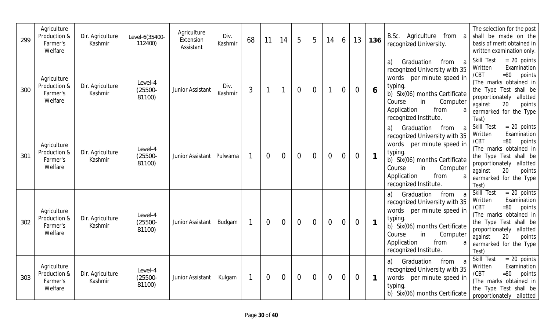| 299 | Agriculture<br>Production &<br>Farmer's<br>Welfare | Dir. Agriculture<br>Kashmir | Level-6(35400-<br>112400)       | Agriculture<br>Extension<br>Assistant | Div.<br>Kashmir | 68 | 11             | 14             | 5              | 5              | 14             | 6                | 13             | 136                     | B.Sc. Agriculture<br>from a<br>recognized University.                                                                                                                                                                              | The selection for the post<br>shall be made on the<br>basis of merit obtained in<br>written examination only.                                                                                                                             |
|-----|----------------------------------------------------|-----------------------------|---------------------------------|---------------------------------------|-----------------|----|----------------|----------------|----------------|----------------|----------------|------------------|----------------|-------------------------|------------------------------------------------------------------------------------------------------------------------------------------------------------------------------------------------------------------------------------|-------------------------------------------------------------------------------------------------------------------------------------------------------------------------------------------------------------------------------------------|
| 300 | Agriculture<br>Production &<br>Farmer's<br>Welfare | Dir. Agriculture<br>Kashmir | Level-4<br>$(25500 -$<br>81100) | Junior Assistant                      | Div.<br>Kashmir | 3  | -1             | $\overline{1}$ | $\overline{0}$ | $\overline{0}$ | $\mathbf{1}$   | $\mathbf 0$      | $\overline{0}$ | 6                       | Graduation<br>a)<br>from<br>a<br>recognized University with 35<br>words per minute speed in<br>typing.<br>b) Six(06) months Certificate<br>Course<br>Computer<br>in<br>Application<br>from<br>a<br>recognized Institute.           | Skill Test<br>$= 20$ points<br>Examination<br>Written<br>$=80$<br>/CBT<br>points<br>(The marks obtained in<br>the Type Test shall be<br>allotted<br>proportionately<br>20<br>against<br>points<br>earmarked for the Type<br>Test)         |
| 301 | Agriculture<br>Production &<br>Farmer's<br>Welfare | Dir. Agriculture<br>Kashmir | Level-4<br>$(25500 -$<br>81100) | Junior Assistant   Pulwama            |                 |    | $\overline{0}$ | $\overline{0}$ | $\overline{0}$ | $\overline{0}$ | $\overline{0}$ | $\overline{0}$   | $\overline{0}$ | $\overline{1}$          | a)<br>Graduation<br>from<br>a<br>recognized University with 35<br>words per minute speed in<br>typing.<br>b) Six(06) months Certificate<br>Course<br>in<br>Computer<br>Application<br>from<br>a<br>recognized Institute.           | $= 20$ points<br>Skill Test<br>Examination<br>Written<br>$=80$<br>points<br>/CBT<br>(The marks obtained in<br>the Type Test shall be<br>proportionately allotted<br>20<br>against<br>points<br>earmarked for the Type<br>Test)            |
| 302 | Agriculture<br>Production &<br>Farmer's<br>Welfare | Dir. Agriculture<br>Kashmir | Level-4<br>$(25500 -$<br>81100) | Junior Assistant                      | Budgam          |    | $\overline{0}$ | $\overline{0}$ | $\overline{0}$ | $\overline{0}$ | $\overline{0}$ | $\overline{0}$   | $\overline{0}$ | $\overline{\mathbf{1}}$ | Graduation<br>from<br>a<br>a)<br>recognized University with 35<br>words per minute speed in<br>typing.<br>b) Six(06) months Certificate<br>Course<br>in<br>Computer<br>Application<br>from<br>$\mathsf a$<br>recognized Institute. | Skill Test<br>$\overline{=}$ 20 points<br>Written<br>Examination<br>$=80$<br>/CBT<br>points<br>(The marks obtained in<br>the Type Test shall be<br>proportionately allotted<br>20<br>against<br>points<br>earmarked for the Type<br>Test) |
| 303 | Agriculture<br>Production &<br>Farmer's<br>Welfare | Dir. Agriculture<br>Kashmir | Level-4<br>$(25500 -$<br>81100) | Junior Assistant                      | Kulgam          |    | $\overline{0}$ | $\overline{0}$ | $\overline{0}$ | $\overline{0}$ | $\overline{0}$ | $\boldsymbol{0}$ | $\overline{0}$ | $\overline{1}$          | from<br>a)<br>Graduation<br>a<br>recognized University with 35<br>words per minute speed in<br>typing.<br>b) Six(06) months Certificate                                                                                            | Skill Test<br>$\overline{=}$ 20 points<br>Written<br>Examination<br>/CBT<br>$=80$<br>points<br>(The marks obtained in<br>the Type Test shall be<br>proportionately allotted                                                               |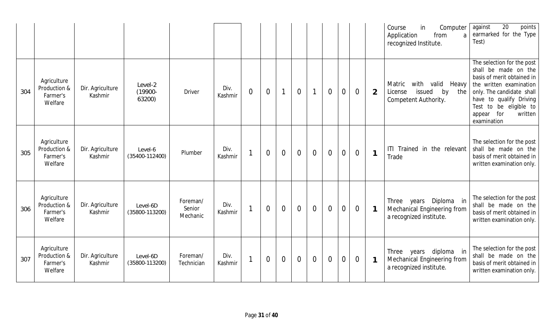|     |                                                    |                             |                                 |                                |                 |                         |                |                |                |                |                |                |                |                | Course<br>in<br>Computer<br>from<br>Application<br>a<br>recognized Institute.           | 20<br>points<br>against<br>earmarked for the Type<br>Test)                                                                                                                                                                               |
|-----|----------------------------------------------------|-----------------------------|---------------------------------|--------------------------------|-----------------|-------------------------|----------------|----------------|----------------|----------------|----------------|----------------|----------------|----------------|-----------------------------------------------------------------------------------------|------------------------------------------------------------------------------------------------------------------------------------------------------------------------------------------------------------------------------------------|
| 304 | Agriculture<br>Production &<br>Farmer's<br>Welfare | Dir. Agriculture<br>Kashmir | Level-2<br>$(19900 -$<br>63200) | <b>Driver</b>                  | Div.<br>Kashmir | $\Omega$                | $\overline{0}$ | $\overline{1}$ | $\overline{0}$ | $\mathbf{1}$   | $\overline{0}$ | $\mathbf 0$    | $\overline{0}$ | $\overline{2}$ | with<br>valid Heavy<br>Matric<br>issued<br>by<br>the<br>License<br>Competent Authority. | The selection for the post<br>shall be made on the<br>basis of merit obtained in<br>the written examination<br>only. The candidate shall<br>have to qualify Driving<br>Test to be eligible to<br>for<br>written<br>appear<br>examination |
| 305 | Agriculture<br>Production &<br>Farmer's<br>Welfare | Dir. Agriculture<br>Kashmir | Level-6<br>$(35400-112400)$     | Plumber                        | Div.<br>Kashmir |                         | $\overline{0}$ | $\overline{0}$ | $\overline{0}$ | $\overline{0}$ | $\overline{0}$ | $\mathbf 0$    | $\overline{0}$ | $\mathbf{1}$   | ITI Trained in the relevant<br>Trade                                                    | The selection for the post<br>shall be made on the<br>basis of merit obtained in<br>written examination only.                                                                                                                            |
| 306 | Agriculture<br>Production &<br>Farmer's<br>Welfare | Dir. Agriculture<br>Kashmir | Level-6D<br>$(35800 - 113200)$  | Foreman/<br>Senior<br>Mechanic | Div.<br>Kashmir | $\overline{1}$          | $\overline{0}$ | $\overline{0}$ | $\overline{0}$ | $\overline{0}$ | $\overline{0}$ | $\overline{0}$ | $\overline{0}$ | $\overline{1}$ | Three years Diploma in<br>Mechanical Engineering from<br>a recognized institute.        | The selection for the post<br>shall be made on the<br>basis of merit obtained in<br>written examination only.                                                                                                                            |
| 307 | Agriculture<br>Production &<br>Farmer's<br>Welfare | Dir. Agriculture<br>Kashmir | Level-6D<br>$(35800 - 113200)$  | Foreman/<br>Technician         | Div.<br>Kashmir | $\overline{\mathbf{1}}$ | $\overline{0}$ | $\overline{0}$ | $\overline{0}$ | $\overline{0}$ | $\overline{0}$ | $\overline{0}$ | $\overline{0}$ | $\mathbf{1}$   | Three years diploma in<br>Mechanical Engineering from<br>a recognized institute.        | The selection for the post<br>shall be made on the<br>basis of merit obtained in<br>written examination only.                                                                                                                            |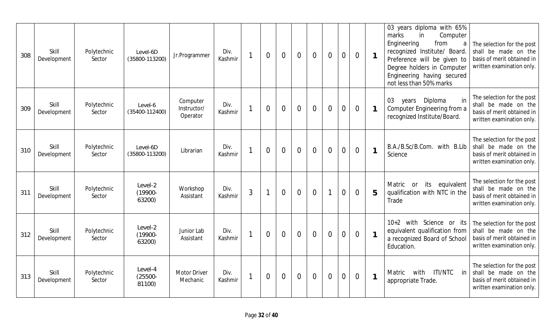| 308 | Skill<br>Development | Polytechnic<br>Sector | Level-6D<br>$(35800 - 113200)$  | Jr.Programmer                       | Div.<br>Kashmir |                | $\overline{0}$ | $\overline{0}$ | $\overline{0}$ | $\overline{0}$ | $\overline{0}$ | $\overline{0}$ | $\overline{0}$ | $\mathbf{1}$ | 03 years diploma with 65%<br>marks<br>in<br>Computer<br>from<br>Engineering<br>a<br>recognized Institute/ Board.<br>Preference will be given to<br>Degree holders in Computer<br>Engineering having secured<br>not less than 50% marks | The selection for the post<br>shall be made on the<br>basis of merit obtained in<br>written examination only.    |
|-----|----------------------|-----------------------|---------------------------------|-------------------------------------|-----------------|----------------|----------------|----------------|----------------|----------------|----------------|----------------|----------------|--------------|----------------------------------------------------------------------------------------------------------------------------------------------------------------------------------------------------------------------------------------|------------------------------------------------------------------------------------------------------------------|
| 309 | Skill<br>Development | Polytechnic<br>Sector | Level-6<br>$(35400-112400)$     | Computer<br>Instructor/<br>Operator | Div.<br>Kashmir |                | $\overline{0}$ | $\overline{0}$ | $\overline{0}$ | $\overline{0}$ | $\overline{0}$ | $\overline{0}$ | $\overline{0}$ | $\mathbf{1}$ | 03<br>Diploma<br>years<br>in.<br>Computer Engineering from a<br>recognized Institute/Board.                                                                                                                                            | The selection for the post<br>shall be made on the<br>basis of merit obtained in<br>written examination only.    |
| 310 | Skill<br>Development | Polytechnic<br>Sector | Level-6D<br>$(35800 - 113200)$  | Librarian                           | Div.<br>Kashmir |                | $\overline{0}$ | $\overline{0}$ | $\overline{0}$ | $\overline{0}$ | $\overline{0}$ | $\overline{0}$ | $\overline{0}$ | $\mathbf{1}$ | B.A./B.Sc/B.Com. with B.Lib<br>Science                                                                                                                                                                                                 | The selection for the post<br>shall be made on the<br>basis of merit obtained in<br>written examination only.    |
| 311 | Skill<br>Development | Polytechnic<br>Sector | Level-2<br>$(19900 -$<br>63200) | Workshop<br>Assistant               | Div.<br>Kashmir | $\mathfrak{Z}$ | $\mathbf{1}$   | $\overline{0}$ | $\overline{0}$ | $\overline{0}$ |                | $\overline{0}$ | $\overline{0}$ | 5            | Matric<br>or<br>its<br>equivalent<br>qualification with NTC in the<br>Trade                                                                                                                                                            | The selection for the post<br>shall be made on the<br>basis of merit obtained in<br>written examination only.    |
| 312 | Skill<br>Development | Polytechnic<br>Sector | Level-2<br>$(19900 -$<br>63200) | Junior Lab<br>Assistant             | Div.<br>Kashmir |                | $\overline{0}$ | $\overline{0}$ | $\overline{0}$ | $\overline{0}$ | $\overline{0}$ | $\overline{0}$ | $\overline{0}$ | $\mathbf{1}$ | 10+2 with Science or<br>its<br>equivalent qualification from<br>a recognized Board of School<br>Education.                                                                                                                             | The selection for the post<br>shall be made on the<br>basis of merit obtained in<br>written examination only.    |
| 313 | Skill<br>Development | Polytechnic<br>Sector | Level-4<br>$(25500 -$<br>81100) | <b>Motor Driver</b><br>Mechanic     | Div.<br>Kashmir | $\overline{1}$ | $\overline{0}$ | $\overline{0}$ | $\overline{0}$ | $\overline{0}$ | $\overline{0}$ | $\overline{0}$ | $\theta$       | $\mathbf{1}$ | ITI/NTC<br>with<br>Matric<br>in<br>appropriate Trade.                                                                                                                                                                                  | The selection for the post<br>be made on the<br>shall<br>basis of merit obtained in<br>written examination only. |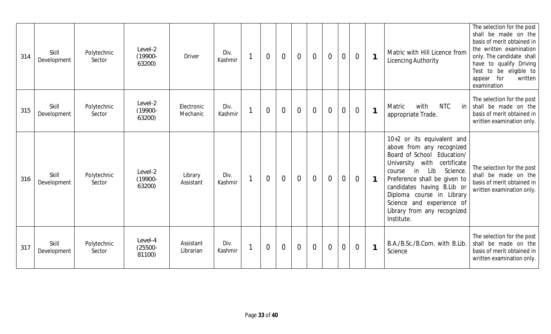| 314 | Skill<br>Development | Polytechnic<br>Sector | Level-2<br>$(19900 -$<br>63200) | <b>Driver</b>          | Div.<br>Kashmir | $\overline{0}$ | $\overline{0}$ | $\overline{0}$ | $\overline{0}$ | $\overline{0}$ | $\overline{0}$ | $\overline{0}$ | $\mathbf{1}$   | Matric with Hill Licence from<br>Licencing Authority                                                                                                                                                                                                                                                                            | The selection for the post<br>shall be made on the<br>basis of merit obtained in<br>the written examination<br>only. The candidate shall<br>have to qualify Driving<br>to be eligible to<br>Test<br>for<br>written<br>appear<br>examination |
|-----|----------------------|-----------------------|---------------------------------|------------------------|-----------------|----------------|----------------|----------------|----------------|----------------|----------------|----------------|----------------|---------------------------------------------------------------------------------------------------------------------------------------------------------------------------------------------------------------------------------------------------------------------------------------------------------------------------------|---------------------------------------------------------------------------------------------------------------------------------------------------------------------------------------------------------------------------------------------|
| 315 | Skill<br>Development | Polytechnic<br>Sector | Level-2<br>$(19900 -$<br>63200) | Electronic<br>Mechanic | Div.<br>Kashmir | $\overline{0}$ | $\overline{0}$ | $\overline{0}$ | $\overline{0}$ | $\overline{0}$ | $\overline{0}$ | $\overline{0}$ | $\overline{1}$ | <b>NTC</b><br>Matric<br>with<br>$\ln$<br>appropriate Trade.                                                                                                                                                                                                                                                                     | The selection for the post<br>shall be made on the<br>basis of merit obtained in<br>written examination only.                                                                                                                               |
| 316 | Skill<br>Development | Polytechnic<br>Sector | Level-2<br>$(19900 -$<br>63200) | Library<br>Assistant   | Div.<br>Kashmir | $\overline{0}$ | $\overline{0}$ | $\overline{0}$ | $\overline{0}$ | $\overline{0}$ | $\mathbf 0$    | $\overline{0}$ | $\overline{1}$ | 10+2 or its equivalent and<br>above from any recognized<br>Board of School<br>Education/<br>University with certificate<br>Lib<br>in<br>Science.<br>course<br>Preference shall be given to<br>candidates having B.Lib or<br>Diploma course in Library<br>Science and experience of<br>Library from any recognized<br>Institute. | The selection for the post<br>shall be made on the<br>basis of merit obtained in<br>written examination only.                                                                                                                               |
| 317 | Skill<br>Development | Polytechnic<br>Sector | Level-4<br>$(25500 -$<br>81100) | Assistant<br>Librarian | Div.<br>Kashmir | $\overline{0}$ | $\overline{0}$ | $\overline{0}$ | $\overline{0}$ | $\overline{0}$ | $\overline{0}$ | $\overline{0}$ | $\overline{1}$ | B.A./B.Sc./B.Com. with B.Lib.<br>Science                                                                                                                                                                                                                                                                                        | The selection for the post<br>shall be made on the<br>basis of merit obtained in<br>written examination only.                                                                                                                               |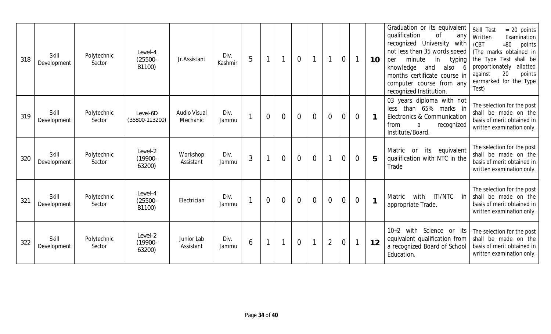| 318 | Skill<br>Development | Polytechnic<br>Sector | Level-4<br>$(25500 -$<br>81100) | Jr.Assistant                    | Div.<br>Kashmir | 5 | $\overline{\phantom{a}}$ | 1              | $\overline{0}$ |                |                | $\overline{0}$ | $\mathbf{1}$   | 10             | Graduation or its equivalent<br>qualification<br>οf<br>any<br>recognized University<br>with<br>not less than 35 words speed<br>minute<br>per<br>in<br>typing<br>knowledge<br>also<br>and<br>6<br>months certificate course in<br>computer course from any<br>recognized Institution. | Skill Test<br>$= 20$ points<br>Written<br>Examination<br>/CBT<br>$=80$<br>points<br>(The marks obtained in<br>the Type Test shall be<br>allotted<br>proportionately<br>20<br>points<br>against<br>earmarked for the Type<br>Test) |
|-----|----------------------|-----------------------|---------------------------------|---------------------------------|-----------------|---|--------------------------|----------------|----------------|----------------|----------------|----------------|----------------|----------------|--------------------------------------------------------------------------------------------------------------------------------------------------------------------------------------------------------------------------------------------------------------------------------------|-----------------------------------------------------------------------------------------------------------------------------------------------------------------------------------------------------------------------------------|
| 319 | Skill<br>Development | Polytechnic<br>Sector | Level-6D<br>$(35800 - 113200)$  | <b>Audio Visual</b><br>Mechanic | Div.<br>Jammu   |   | $\overline{0}$           | $\overline{0}$ | $\overline{0}$ | $\overline{0}$ | $\overline{0}$ | $\overline{0}$ | $\overline{0}$ | $\mathbf 1$    | 03 years diploma with not<br>less than 65% marks in<br>Electronics & Communication<br>from<br>a<br>recognized<br>Institute/Board.                                                                                                                                                    | The selection for the post<br>shall be made on the<br>basis of merit obtained in<br>written examination only.                                                                                                                     |
| 320 | Skill<br>Development | Polytechnic<br>Sector | Level-2<br>$(19900 -$<br>63200) | Workshop<br>Assistant           | Div.<br>Jammu   | 3 | $\mathbf{1}$             | $\overline{0}$ | $\overline{0}$ | $\overline{0}$ |                | $\overline{0}$ | $\overline{0}$ | 5              | its<br>equivalent<br>Matric<br>or<br>qualification with NTC in the<br>Trade                                                                                                                                                                                                          | The selection for the post<br>shall be made on the<br>basis of merit obtained in<br>written examination only.                                                                                                                     |
| 321 | Skill<br>Development | Polytechnic<br>Sector | Level-4<br>$(25500 -$<br>81100) | Electrician                     | Div.<br>Jammu   |   | $\overline{0}$           | $\overline{0}$ | $\overline{0}$ | $\overline{0}$ | $\overline{0}$ | $\overline{0}$ | $\overline{0}$ | $\overline{1}$ | <b>ITI/NTC</b><br>with<br>Matric<br>in<br>appropriate Trade.                                                                                                                                                                                                                         | The selection for the post<br>shall be made on the<br>basis of merit obtained in<br>written examination only.                                                                                                                     |
| 322 | Skill<br>Development | Polytechnic<br>Sector | Level-2<br>$(19900 -$<br>63200) | Junior Lab<br>Assistant         | Div.<br>Jammu   | 6 | $\mathbf{1}$             | $\mathbf{1}$   | $\overline{0}$ | -1             | $\overline{2}$ | $\mathbf 0$    | $\mathbf{1}$   | 12             | 10+2 with Science or<br>its<br>equivalent qualification from<br>a recognized Board of School<br>Education.                                                                                                                                                                           | The selection for the post<br>shall be made on the<br>basis of merit obtained in<br>written examination only.                                                                                                                     |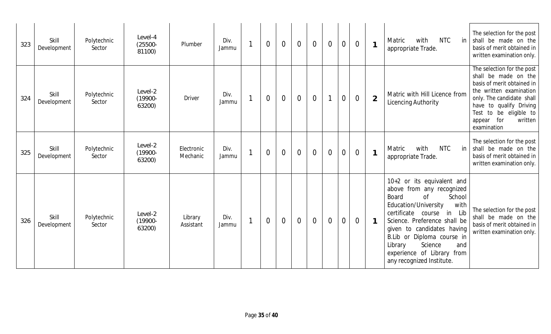| 323 | Skill<br>Development | Polytechnic<br>Sector | Level-4<br>$(25500 -$<br>81100) | Plumber                | Div.<br>Jammu | $\overline{0}$ | $\overline{0}$ | $\overline{0}$ | $\overline{0}$ | $\overline{0}$ | $\theta$       | $\overline{0}$ | $\overline{1}$ | <b>NTC</b><br>with<br>in<br>Matric<br>appropriate Trade.                                                                                                                                                                                                                                                                                                 | The selection for the post<br>shall be made on the<br>basis of merit obtained in<br>written examination only.                                                                                                                               |
|-----|----------------------|-----------------------|---------------------------------|------------------------|---------------|----------------|----------------|----------------|----------------|----------------|----------------|----------------|----------------|----------------------------------------------------------------------------------------------------------------------------------------------------------------------------------------------------------------------------------------------------------------------------------------------------------------------------------------------------------|---------------------------------------------------------------------------------------------------------------------------------------------------------------------------------------------------------------------------------------------|
| 324 | Skill<br>Development | Polytechnic<br>Sector | Level-2<br>$(19900 -$<br>63200) | <b>Driver</b>          | Div.<br>Jammu | $\overline{0}$ | $\overline{0}$ | $\overline{0}$ | $\overline{0}$ | $\mathbf{1}$   | $\overline{0}$ | $\overline{0}$ | $\overline{2}$ | Matric with Hill Licence from<br>Licencing Authority                                                                                                                                                                                                                                                                                                     | The selection for the post<br>shall be made on the<br>basis of merit obtained in<br>the written examination<br>only. The candidate shall<br>have to qualify Driving<br>to be eligible to<br>Test<br>for<br>written<br>appear<br>examination |
| 325 | Skill<br>Development | Polytechnic<br>Sector | Level-2<br>$(19900 -$<br>63200) | Electronic<br>Mechanic | Div.<br>Jammu | $\overline{0}$ | $\overline{0}$ | $\overline{0}$ | $\overline{0}$ | $\overline{0}$ | $\theta$       | $\overline{0}$ | $\overline{1}$ | <b>NTC</b><br>with<br>Matric<br>in<br>appropriate Trade.                                                                                                                                                                                                                                                                                                 | The selection for the post<br>shall be made on the<br>basis of merit obtained in<br>written examination only.                                                                                                                               |
| 326 | Skill<br>Development | Polytechnic<br>Sector | Level-2<br>$(19900 -$<br>63200) | Library<br>Assistant   | Div.<br>Jammu | $\overline{0}$ | $\overline{0}$ | $\overline{0}$ | $\overline{0}$ | $\overline{0}$ | $\overline{0}$ | $\overline{0}$ | $\mathbf{1}$   | 10+2 or its equivalent and<br>above from any recognized<br>$\Omega$<br>School<br><b>Board</b><br><b>Education/University</b><br>with<br>certificate course<br>in Lib<br>Science. Preference shall be<br>given to candidates having<br>B.Lib or Diploma course in<br>Science<br>Library<br>and<br>experience of Library from<br>any recognized Institute. | The selection for the post<br>shall be made on the<br>basis of merit obtained in<br>written examination only.                                                                                                                               |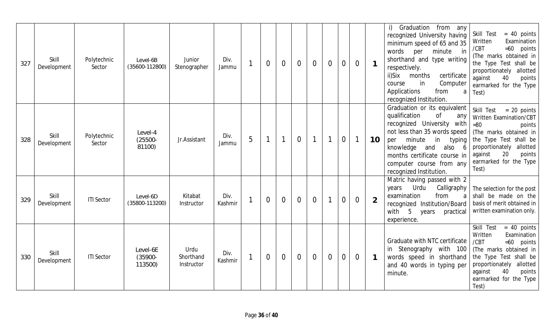| 327 | Skill<br>Development | Polytechnic<br>Sector | Level-6B<br>$(35600 - 112800)$    | Junior<br>Stenographer          | Div.<br>Jammu   |   | $\overline{0}$ | $\overline{0}$ | $\overline{0}$ | $\overline{0}$ | $\overline{0}$ | $\overline{0}$ | $\overline{0}$ | $\mathbf{1}$   | Graduation<br>from any<br>recognized University having<br>minimum speed of 65 and 35<br>words<br>per<br>minute in<br>shorthand and type writing<br>respectively.<br>certificate<br>ii)Six<br>months<br>in<br>course<br>Computer<br>Applications<br>from<br>a<br>recognized Institution. | $= 40$ points<br>Skill Test<br>Written<br>Examination<br>/CBT<br>$=60$ points<br>(The marks obtained in<br>the Type Test shall be<br>proportionately<br>allotted<br>40<br>points<br>against<br>earmarked for the Type<br>Test) |
|-----|----------------------|-----------------------|-----------------------------------|---------------------------------|-----------------|---|----------------|----------------|----------------|----------------|----------------|----------------|----------------|----------------|-----------------------------------------------------------------------------------------------------------------------------------------------------------------------------------------------------------------------------------------------------------------------------------------|--------------------------------------------------------------------------------------------------------------------------------------------------------------------------------------------------------------------------------|
| 328 | Skill<br>Development | Polytechnic<br>Sector | Level-4<br>$(25500 -$<br>81100)   | Jr.Assistant                    | Div.<br>Jammu   | 5 |                | $\overline{1}$ | $\overline{0}$ | $\mathbf 1$    | $\mathbf{1}$   | $\mathbf 0$    |                | 10             | Graduation or its equivalent<br>qualification<br>0f<br>any<br>recognized University with<br>not less than 35 words speed<br>minute<br>in<br>per<br>typing<br>knowledge and<br>also<br>6<br>months certificate course in<br>computer course from any<br>recognized Institution.          | Skill Test<br>$= 20$ points<br>Written Examination/CBT<br>$=80$<br>points<br>(The marks obtained in<br>the Type Test shall be<br>proportionately allotted<br>20<br>points<br>against<br>earmarked for the Type<br>Test)        |
| 329 | Skill<br>Development | <b>ITI Sector</b>     | Level-6D<br>$(35800 - 113200)$    | Kitabat<br>Instructor           | Div.<br>Kashmir |   | $\Omega$       | $\overline{0}$ | $\overline{0}$ | $\overline{0}$ |                | $\overline{0}$ | $\overline{0}$ | $\overline{2}$ | Matric having passed with 2<br>Urdu<br>Calligraphy<br>years<br>examination<br>from<br>a<br>recognized Institution/Board<br>with<br>5 <sub>5</sub><br>years<br>practical<br>experience.                                                                                                  | The selection for the post<br>shall be made on the<br>basis of merit obtained in<br>written examination only.                                                                                                                  |
| 330 | Skill<br>Development | <b>ITI Sector</b>     | Level-6E<br>$(35900 -$<br>113500) | Urdu<br>Shorthand<br>Instructor | Div.<br>Kashmir |   | $\overline{0}$ | $\overline{0}$ | $\overline{0}$ | $\overline{0}$ | $\overline{0}$ | $\overline{0}$ | $\overline{0}$ | $\mathbf 1$    | Graduate with NTC certificate<br>in Stenography with 100<br>words speed in shorthand<br>and 40 words in typing per<br>minute.                                                                                                                                                           | Skill Test<br>$= 40$ points<br>Written<br>Examination<br>/CBT<br>$=60$ points<br>(The marks obtained in<br>the Type Test shall be<br>proportionately<br>allotted<br>40<br>against<br>points<br>earmarked for the Type<br>Test) |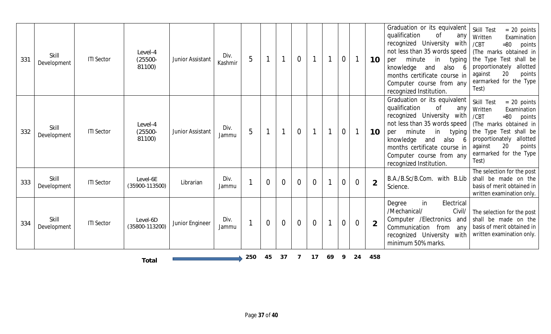| 331 | Skill<br>Development        | <b>ITI Sector</b> | Level-4<br>$(25500 -$<br>81100) | Junior Assistant | Div.<br>Kashmir | 5   |                | $\overline{1}$ | $\overline{0}$ | $\overline{1}$          | $\mathbf{1}$   | $\mathbf 0$    |                | 10             | Graduation or its equivalent<br>qualification<br>οf<br>any<br>recognized University<br>with<br>not less than 35 words speed<br>minute<br>$\mathsf{in}$<br>typing<br>per<br>knowledge<br>also<br>and<br>6<br>months certificate course in<br>Computer course from any<br>recognized Institution. | Skill Test<br>$= 20$ points<br>Written<br>Examination<br>/CBT<br>$=80$<br>points<br>(The marks obtained in<br>the Type Test shall be<br>proportionately<br>allotted<br>20<br>points<br>against<br>earmarked for the Type<br>Test) |
|-----|-----------------------------|-------------------|---------------------------------|------------------|-----------------|-----|----------------|----------------|----------------|-------------------------|----------------|----------------|----------------|----------------|-------------------------------------------------------------------------------------------------------------------------------------------------------------------------------------------------------------------------------------------------------------------------------------------------|-----------------------------------------------------------------------------------------------------------------------------------------------------------------------------------------------------------------------------------|
| 332 | <b>Skill</b><br>Development | <b>ITI Sector</b> | Level-4<br>$(25500 -$<br>81100) | Junior Assistant | Div.<br>Jammu   | 5   | 1              | $\mathbf{1}$   | $\overline{0}$ | $\overline{\mathbf{1}}$ | $\overline{1}$ | $\overline{0}$ |                | 10             | Graduation or its equivalent<br>qualification<br>0f<br>any<br>recognized University with<br>not less than 35 words speed<br>minute<br>in<br>typing<br>per<br>knowledge<br>also<br>and<br>6<br>months certificate course in<br>Computer course from any<br>recognized Institution.               | Skill Test<br>$= 20$ points<br>Written<br>Examination<br>/CBT<br>$=80$<br>points<br>(The marks obtained in<br>the Type Test shall be<br>proportionately<br>allotted<br>20<br>points<br>against<br>earmarked for the Type<br>Test) |
| 333 | Skill<br>Development        | <b>ITI Sector</b> | Level-6E<br>$(35900 - 113500)$  | Librarian        | Div.<br>Jammu   |     | $\overline{0}$ | $\overline{0}$ | $\overline{0}$ | $\overline{0}$          | $\mathbf{1}$   | $\theta$       | $\overline{0}$ | $\overline{2}$ | B.A./B.Sc/B.Com. with B.Lib<br>Science.                                                                                                                                                                                                                                                         | The selection for the post<br>shall be made on the<br>basis of merit obtained in<br>written examination only.                                                                                                                     |
| 334 | <b>Skill</b><br>Development | <b>ITI Sector</b> | Level-6D<br>$(35800 - 113200)$  | Junior Engineer  | Div.<br>Jammu   |     | $\overline{0}$ | $\overline{0}$ | $\overline{0}$ | $\overline{0}$          | $\mathbf{1}$   | $\overline{0}$ | $\overline{0}$ | $\overline{2}$ | in<br>Electrical<br>Degree<br>/Mechanical/<br>Civil/<br>Computer / Electronics<br>and<br>Communication from<br>any<br>recognized University<br>with<br>minimum 50% marks.                                                                                                                       | The selection for the post<br>shall be made on the<br>basis of merit obtained in<br>written examination only.                                                                                                                     |
|     |                             |                   | Total                           |                  |                 | 250 | 45             | 37             |                | 17                      | 69             | 9              | 24             | 458            |                                                                                                                                                                                                                                                                                                 |                                                                                                                                                                                                                                   |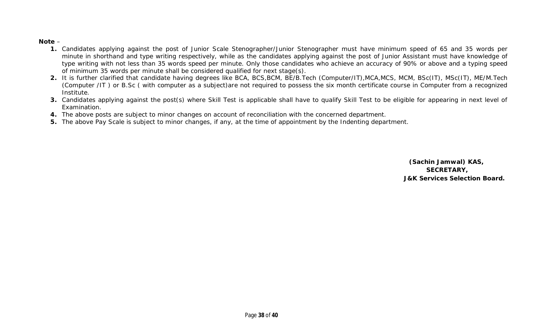#### **Note** –

- **1.** Candidates applying against the post of Junior Scale Stenographer/Junior Stenographer must have minimum speed of 65 and 35 words per minute in shorthand and type writing respectively, while as the candidates applying against the post of Junior Assistant must have knowledge of type writing with not less than 35 words speed per minute. Only those candidates who achieve an accuracy of 90% or above and a typing speed of minimum 35 words per minute shall be considered qualified for next stage(s).
- **2.** It is further clarified that candidate having degrees like BCA, BCS,BCM, BE/B.Tech (Computer/IT),MCA,MCS, MCM, BSc(IT), MSc(IT), ME/M.Tech (Computer /IT ) or B.Sc ( with computer as a subject)are not required to possess the six month certificate course in Computer from a recognized Institute.
- **3.** Candidates applying against the post(s) where Skill Test is applicable shall have to qualify Skill Test to be eligible for appearing in next level of Examination.
- **4.** The above posts are subject to minor changes on account of reconciliation with the concerned department.
- **5.** The above Pay Scale is subject to minor changes, if any, at the time of appointment by the Indenting department.

**(Sachin Jamwal) KAS, SECRETARY, J&K Services Selection Board.**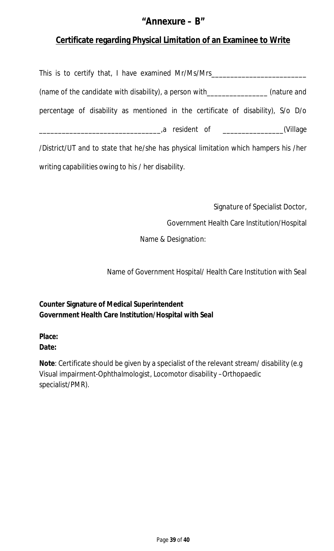## **"Annexure – B"**

## **Certificate regarding Physical Limitation of an Examinee to Write**

| This is to certify that, I have examined Mr/Ms/Mrs                                   |  |
|--------------------------------------------------------------------------------------|--|
| (name of the candidate with disability), a person with_________________(nature and   |  |
| percentage of disability as mentioned in the certificate of disability), S/o D/o     |  |
|                                                                                      |  |
| /District/UT and to state that he/she has physical limitation which hampers his /her |  |
| writing capabilities owing to his / her disability.                                  |  |

Signature of Specialist Doctor,

Government Health Care Institution/Hospital

Name & Designation:

Name of Government Hospital/ Health Care Institution with Seal

**Counter Signature of Medical Superintendent Government Health Care Institution/Hospital with Seal** 

**Place: Date:** 

**Note**: Certificate should be given by a specialist of the relevant stream/ disability (e.g Visual impairment-Ophthalmologist, Locomotor disability –Orthopaedic specialist/PMR).